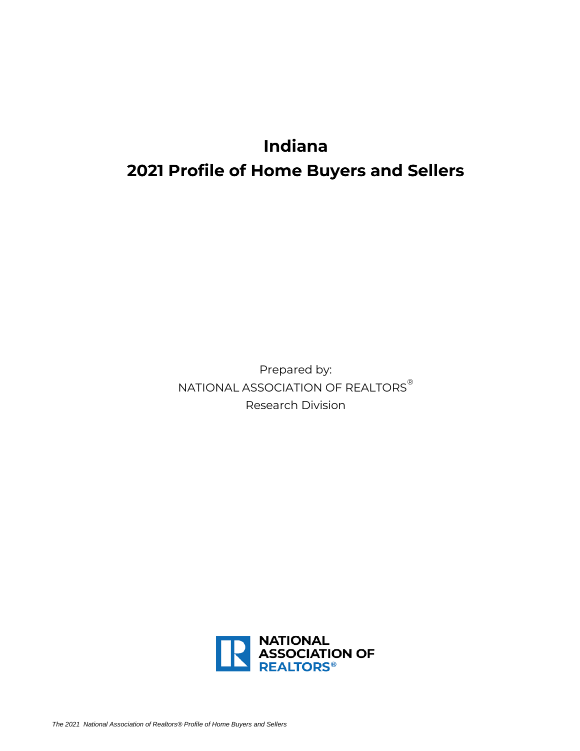# **Indiana 2021 Profile of Home Buyers and Sellers**

Prepared by: NATIONAL ASSOCIATION OF REALTORS® Research Division

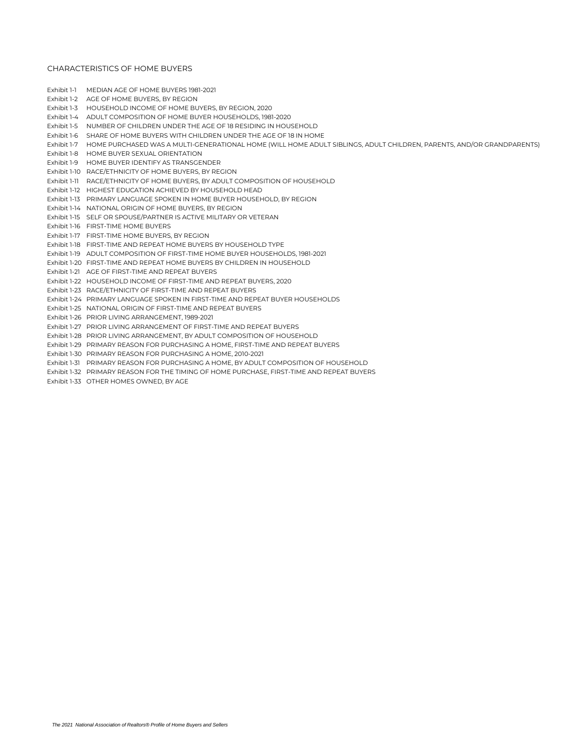Exhibit 1-1 MEDIAN AGE OF HOME BUYERS 1981-2021

|             | Exhibit 1-2 AGE OF HOME BUYERS, BY REGION                                                                                         |
|-------------|-----------------------------------------------------------------------------------------------------------------------------------|
|             | Exhibit 1-3 HOUSEHOLD INCOME OF HOME BUYERS, BY REGION, 2020                                                                      |
|             | Exhibit 1-4 ADULT COMPOSITION OF HOME BUYER HOUSEHOLDS, 1981-2020                                                                 |
| Exhibit 1-5 | NUMBER OF CHILDREN UNDER THE AGE OF 18 RESIDING IN HOUSEHOLD                                                                      |
|             | Exhibit 1-6 SHARE OF HOME BUYERS WITH CHILDREN UNDER THE AGE OF 18 IN HOME                                                        |
|             | Exhibit 1-7 HOME PURCHASED WAS A MULTI-GENERATIONAL HOME (WILL HOME ADULT SIBLINGS, ADULT CHILDREN, PARENTS, AND/OR GRANDPARENTS) |
|             | Exhibit 1-8 HOME BUYER SEXUAL ORIENTATION                                                                                         |
|             | Exhibit 1-9 HOME BUYER IDENTIFY AS TRANSGENDER                                                                                    |
|             | Exhibit 1-10 RACE/ETHNICITY OF HOME BUYERS, BY REGION                                                                             |
|             | Exhibit 1-11 RACE/ETHNICITY OF HOME BUYERS, BY ADULT COMPOSITION OF HOUSEHOLD                                                     |
|             | Exhibit 1-12 HIGHEST EDUCATION ACHIEVED BY HOUSEHOLD HEAD                                                                         |
|             | Exhibit 1-13 PRIMARY LANGUAGE SPOKEN IN HOME BUYER HOUSEHOLD, BY REGION                                                           |
|             | Exhibit 1-14 NATIONAL ORIGIN OF HOME BUYERS, BY REGION                                                                            |
|             | Exhibit 1-15 SELF OR SPOUSE/PARTNER IS ACTIVE MILITARY OR VETERAN                                                                 |
|             | Exhibit 1-16 FIRST-TIME HOME BUYERS                                                                                               |
|             | Exhibit 1-17 FIRST-TIME HOME BUYERS, BY REGION                                                                                    |
|             | Exhibit 1-18 FIRST-TIME AND REPEAT HOME BUYERS BY HOUSEHOLD TYPE                                                                  |
|             | Exhibit 1-19 ADULT COMPOSITION OF FIRST-TIME HOME BUYER HOUSEHOLDS, 1981-2021                                                     |
|             | Exhibit 1-20 FIRST-TIME AND REPEAT HOME BUYERS BY CHILDREN IN HOUSEHOLD                                                           |
|             | Exhibit 1-21 AGE OF FIRST-TIME AND REPEAT BUYERS                                                                                  |
|             | Exhibit 1-22 HOUSEHOLD INCOME OF FIRST-TIME AND REPEAT BUYERS, 2020                                                               |
|             |                                                                                                                                   |

- Exhibit 1-23 RACE/ETHNICITY OF FIRST-TIME AND REPEAT BUYERS
- Exhibit 1-24 PRIMARY LANGUAGE SPOKEN IN FIRST-TIME AND REPEAT BUYER HOUSEHOLDS
- Exhibit 1-25 NATIONAL ORIGIN OF FIRST-TIME AND REPEAT BUYERS
- Exhibit 1-26 PRIOR LIVING ARRANGEMENT, 1989-2021
- Exhibit 1-27 PRIOR LIVING ARRANGEMENT OF FIRST-TIME AND REPEAT BUYERS
- Exhibit 1-28 PRIOR LIVING ARRANGEMENT, BY ADULT COMPOSITION OF HOUSEHOLD
- Exhibit 1-29 PRIMARY REASON FOR PURCHASING A HOME, FIRST-TIME AND REPEAT BUYERS
- Exhibit 1-30 PRIMARY REASON FOR PURCHASING A HOME, 2010-2021
- Exhibit 1-31 PRIMARY REASON FOR PURCHASING A HOME, BY ADULT COMPOSITION OF HOUSEHOLD
- Exhibit 1-32 PRIMARY REASON FOR THE TIMING OF HOME PURCHASE, FIRST-TIME AND REPEAT BUYERS
- Exhibit 1-33 OTHER HOMES OWNED, BY AGE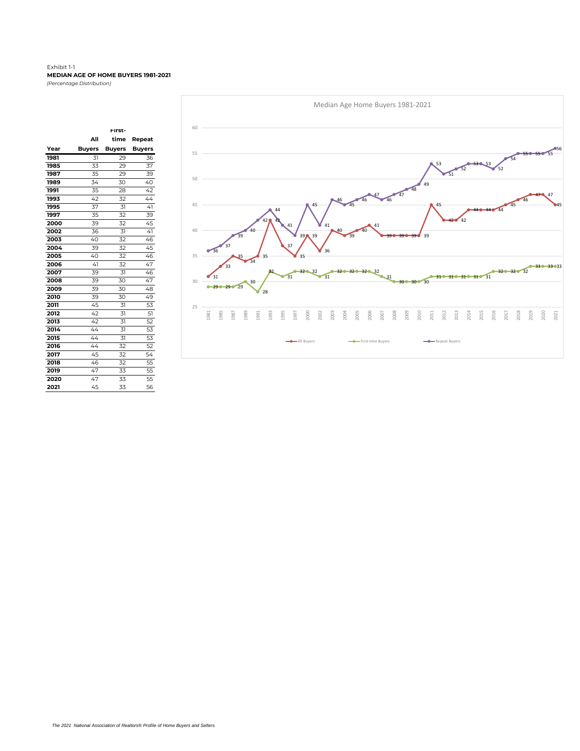#### Exhibit 1-1 **MEDIAN AGE OF HOME BUYERS 1981-2021** *(Percentage Distribution)*

|      |               | First-        |               |
|------|---------------|---------------|---------------|
|      | All           | time          | Repeat        |
| Year | <b>Buyers</b> | <b>Buyers</b> | <b>Buyers</b> |
| 1981 | 31            | 29            | 36            |
| 1985 | 33            | 29            | 37            |
| 1987 | 35            | 29            | 39            |
| 1989 | 34            | 30            | 40            |
| 1991 | 35            | 28            | 42            |
| 1993 | 42            | 32            | 44            |
| 1995 | 37            | 31            | 41            |
| 1997 | 35            | 32            | 39            |
| 2000 | 39            | 32            | 45            |
| 2002 | 36            | 31            | 41            |
| 2003 | 40            | 32            | 46            |
| 2004 | 39            | 32            | 45            |
| 2005 | 40            | 32            | 46            |
| 2006 | 41            | 32            | 47            |
| 2007 | 39            | 31            | 46            |
| 2008 | 39            | 30            | 47            |
| 2009 | 39            | 30            | 48            |
| 2010 | 39            | 30            | 49            |
| 2011 | 45            | 31            | 53            |
| 2012 | 42            | 31            | 51            |
| 2013 | 42            | 31            | 52            |
| 2014 | 44            | 31            | 53            |
| 2015 | 44            | 31            | 53            |
| 2016 | 44            | 32            | 52            |
| 2017 | 45            | 32            | 54            |
| 2018 | 46            | 32            | 55            |
| 2019 | 47            | 33            | 55            |
| 2020 | 47            | 33            | 55            |
| 2021 | 45            | 33            | 56            |

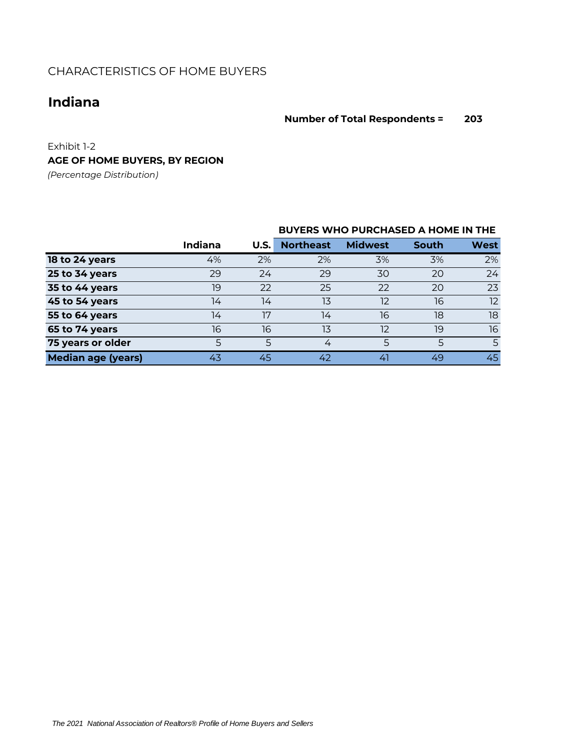# **Indiana**

## **Number of Total Respondents = 203**

Exhibit 1-2 **AGE OF HOME BUYERS, BY REGION**

*(Percentage Distribution)*

|                           |                |      | <b>BUYERS WHO PURCHASED A HOME IN THE</b> |                |       |      |
|---------------------------|----------------|------|-------------------------------------------|----------------|-------|------|
|                           | <b>Indiana</b> | U.S. | <b>Northeast</b>                          | <b>Midwest</b> | South | West |
| 18 to 24 years            | 4%             | 2%   | 2%                                        | 3%             | 3%    | 2%   |
| 25 to 34 years            | 29             | 24   | 29                                        | 30             | 20    | 24   |
| 35 to 44 years            | 19             | 22   | 25                                        | 22             | 20    | 23   |
| 45 to 54 years            | 14             | 14   | 13                                        | 12             | 16    | 12   |
| 55 to 64 years            | 14             | 17   | 14                                        | 16             | 18    | 18   |
| 65 to 74 years            | 16             | 16   | 13                                        | 12             | 19    | 16   |
| 75 years or older         | 5              | 5    | 4                                         | 5              | 5     | 5    |
| <b>Median age (years)</b> | 43             | 45   | 42                                        | 41             | 49    | 45   |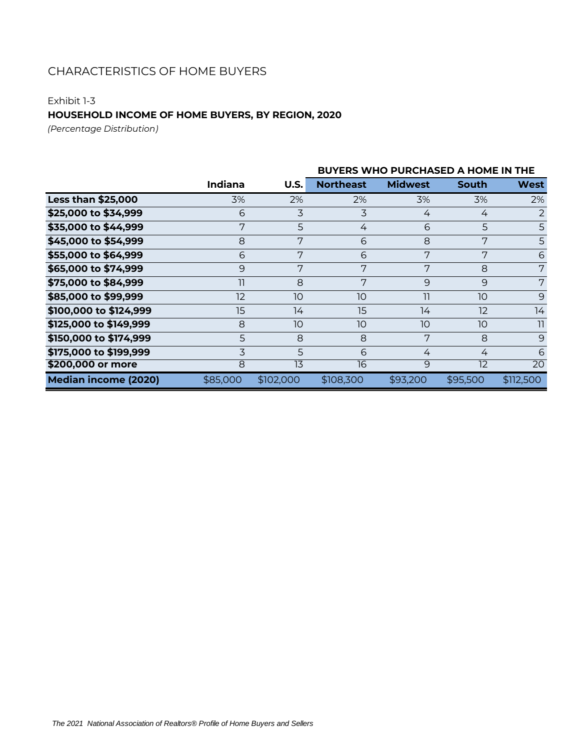## Exhibit 1-3

## **HOUSEHOLD INCOME OF HOME BUYERS, BY REGION, 2020**

*(Percentage Distribution)*

|                             |                 |                 | <b>BUYERS WHO PURCHASED A HOME IN THE</b> |                |          |                 |  |  |  |  |
|-----------------------------|-----------------|-----------------|-------------------------------------------|----------------|----------|-----------------|--|--|--|--|
|                             | Indiana         | U.S.            | <b>Northeast</b>                          | <b>Midwest</b> | South    | <b>West</b>     |  |  |  |  |
| <b>Less than \$25,000</b>   | 3%              | 2%              | 2%                                        | 3%             | 3%       | 2%              |  |  |  |  |
| \$25,000 to \$34,999        | 6               | 3               | 3                                         | 4              | 4        | 2               |  |  |  |  |
| \$35,000 to \$44,999        | 7               | 5               | 4                                         | 6              | 5        | 5               |  |  |  |  |
| \$45,000 to \$54,999        | 8               | 7               | 6                                         | 8              | 7        | 5               |  |  |  |  |
| \$55,000 to \$64,999        | 6               | 7               | 6                                         | 7              | 7        | 6               |  |  |  |  |
| \$65,000 to \$74,999        | 9               | 7               | 7                                         | 7              | 8        | 7               |  |  |  |  |
| \$75,000 to \$84,999        | $\overline{11}$ | 8               | 7                                         | 9              | 9        | 7               |  |  |  |  |
| \$85,000 to \$99,999        | 12              | 10              | 10                                        | 11             | 10       | 9               |  |  |  |  |
| \$100,000 to \$124,999      | 15              | 14              | 15                                        | 14             | 12       | 14              |  |  |  |  |
| \$125,000 to \$149,999      | 8               | 10              | 10                                        | 10             | 10       | 11              |  |  |  |  |
| \$150,000 to \$174,999      | 5               | 8               | 8                                         | 7              | 8        | 9               |  |  |  |  |
| \$175,000 to \$199,999      | 3               | 5               | 6                                         | 4              | 4        | 6               |  |  |  |  |
| \$200,000 or more           | 8               | $1\overline{3}$ | 16                                        | 9              | 12       | $\overline{20}$ |  |  |  |  |
| <b>Median income (2020)</b> | \$85,000        | \$102,000       | \$108,300                                 | \$93,200       | \$95,500 | \$112,500       |  |  |  |  |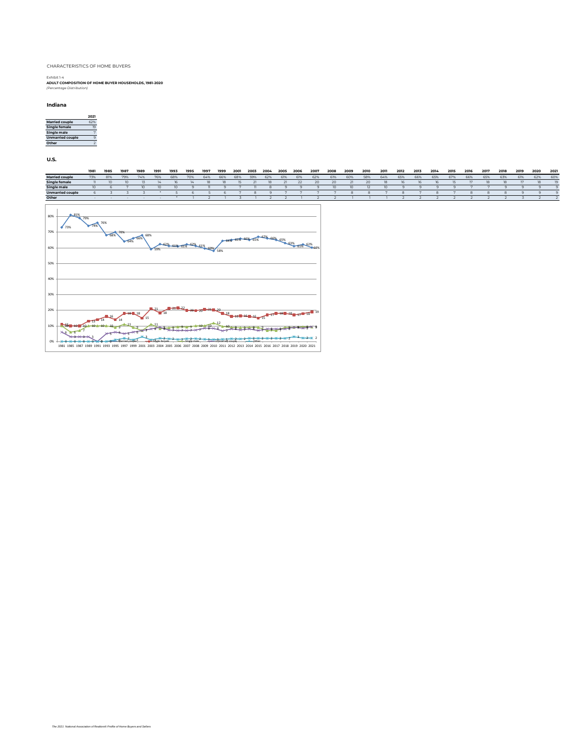Exhibit 1-4 **ADULT COMPOSITION OF HOME BUYER HOUSEHOLDS, 1981-2020** *(Percentage Distribution)*

#### **Indiana**

|                         | 2021 |
|-------------------------|------|
| <b>Married couple</b>   | 62%  |
| Single female           |      |
| <b>Single male</b>      |      |
| <b>Unmarried couple</b> |      |
| Other                   |      |

**U.S.**

|                         | 1981 | 1985 | 1987 | 1989 | 1991 | 1993 | 1995 | 1997 | 1999 | 2001 | 2003 | 2004 | 2005 | 2006 | 2007 | 2008 | 2009 | 2010 | 2011 | 2012 | 2013 | 2014 | 2015 | 2016 | 2017 | 2018 | 2019 | 2020 | 2021 |
|-------------------------|------|------|------|------|------|------|------|------|------|------|------|------|------|------|------|------|------|------|------|------|------|------|------|------|------|------|------|------|------|
| <b>Married couple</b>   | 73%  | 81%  | 79%  | 74%  | 76%  | 68%  | 70%  | 64%  | 66%  | 68%  | 59%  | 62%  | 61%  | 61%  | 62%  | 61%  | 60%  | 58%  | 64%  | 65%  | 66%  | 65%  | 67%  | 66%  | 65%  | 63%  | 61%  | 62%  | 60%  |
| <b>Single female</b>    |      |      |      |      |      |      |      |      |      |      |      | 18   |      | 22   | 20   | 20   |      | 20   |      |      |      |      |      |      |      |      |      |      |      |
| <b>Single male</b>      |      |      |      |      |      |      |      |      |      |      |      |      |      |      |      |      |      |      |      |      |      |      |      |      |      |      |      |      |      |
| <b>Unmarried couple</b> |      |      |      |      |      |      |      |      |      |      |      |      |      |      |      |      |      |      |      |      |      |      |      |      |      |      |      |      |      |
| Other                   |      |      |      |      |      |      |      |      |      |      |      |      |      |      |      |      |      |      |      |      |      |      |      |      |      |      |      |      |      |

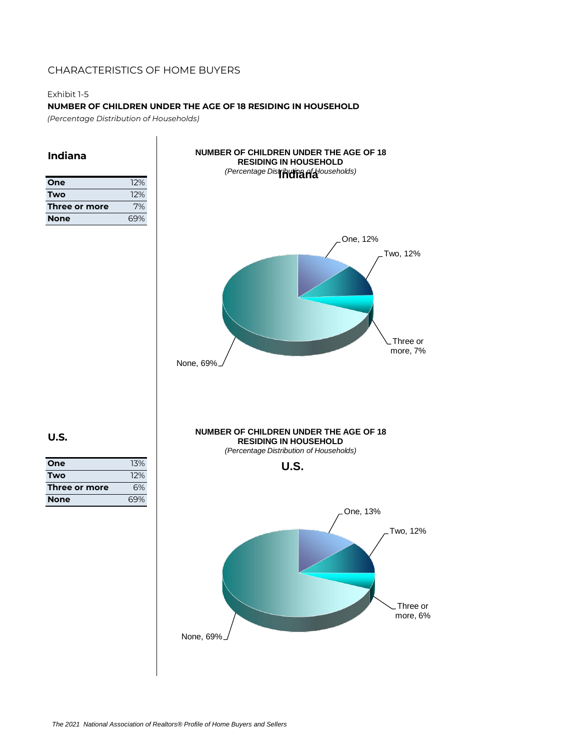## Exhibit 1-5

**NUMBER OF CHILDREN UNDER THE AGE OF 18 RESIDING IN HOUSEHOLD**

*(Percentage Distribution of Households)*

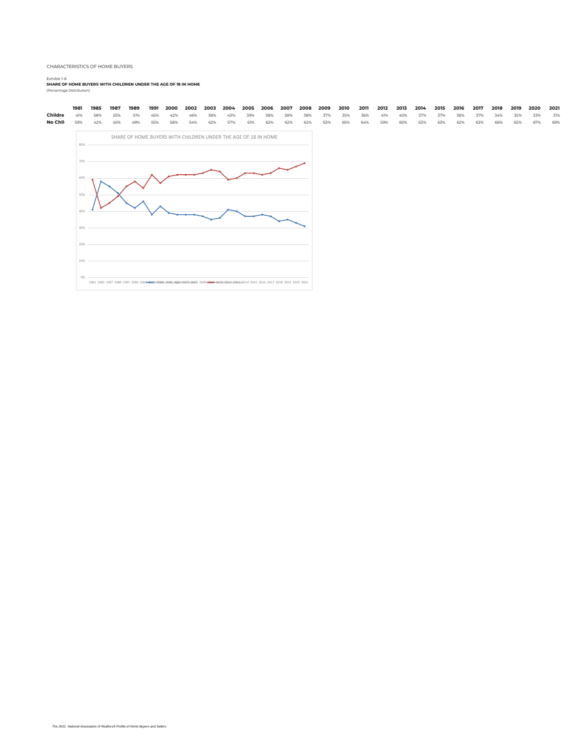0% 10% 20% 30% 40%

# Exhibit 1-6<br><del>SHARE OF HOME BUYERS WITH CHILDREN UNDER THE AGE OF 18 IN HOME<br>*(Percentage Distribution)*</del>

1981 1985 1987 1989 1991 2000 2002<del>-2003</del>:2008n-2006r2006c2008-2008 2009-2010 201018042n204ahc014 2015 2016 2017 2018 2019 2020 2021

|         | 1981                     | 1985 | 1987 | 1989 | 1991 | 2000 | 2002 | 2003 | 2004                                                           | 2005 | 2006 | 2007 | 2008 | 2009 | 2010 | 2011 | 2012 | 2013 | 2014 | 2015 | 2016 | 2017 | 2018 | 2019 | 2020 | 2021 |
|---------|--------------------------|------|------|------|------|------|------|------|----------------------------------------------------------------|------|------|------|------|------|------|------|------|------|------|------|------|------|------|------|------|------|
| Childre | 41%                      | 58%  | 55%  | 51%  | 45%  | 42%  | 46%  | 38%  | 43%                                                            | 39%  | 38%  | 38%  | 38%  | 37%  | 35%  | 36%  | 41%  | 40%  | 37%  | 37%  | 38%  | 37%  | 34%  | 35%  | 33%  | 31%  |
| No Chil | 59%                      | 42%  | 45%  | 49%  | 55%  | 58%  | 54%  | 62%  | 57%                                                            | 61%  | 62%  | 62%  | 62%  | 63%  | 65%  | 64%  | 59%  | 60%  | 63%  | 63%  | 62%  | 63%  | 66%  | 65%  | 67%  | 69%  |
|         | 80%<br>70%<br>60%<br>50% |      |      |      |      |      |      |      | SHARE OF HOME BUYERS WITH CHILDREN UNDER THE AGE OF 18 IN HOME |      |      |      |      |      |      |      |      |      |      |      |      |      |      |      |      |      |

*The 2021 National Association of Realtors® Profile of Home Buyers and Sellers*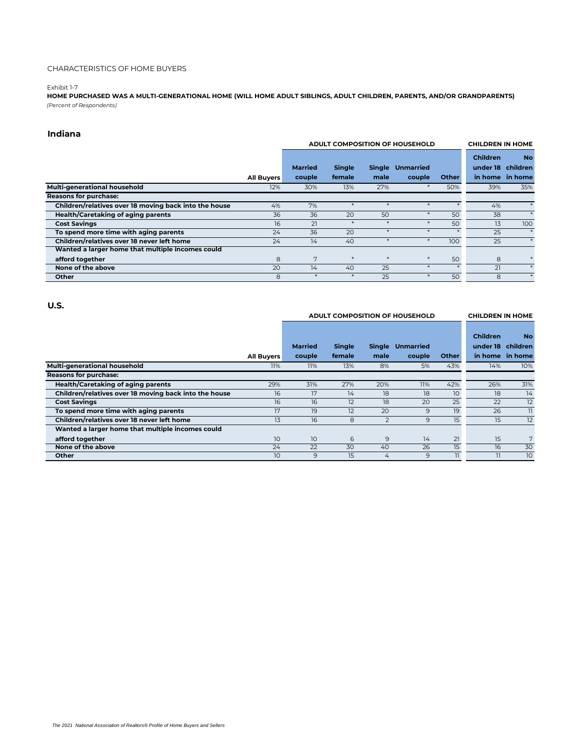#### Exhibit 1-7

**HOME PURCHASED WAS A MULTI-GENERATIONAL HOME (WILL HOME ADULT SIBLINGS, ADULT CHILDREN, PARENTS, AND/OR GRANDPARENTS)** *(Percent of Respondents)*

## **Indiana**

|                                                       |                   |                |               |      | ADULT COMPOSITION OF HOUSEHOLD |              | <b>CHILDREN IN HOME</b> |                   |
|-------------------------------------------------------|-------------------|----------------|---------------|------|--------------------------------|--------------|-------------------------|-------------------|
|                                                       |                   |                |               |      |                                |              | <b>Children</b>         | <b>No</b>         |
|                                                       |                   | <b>Married</b> | <b>Single</b> |      | Single Unmarried               |              |                         | under 18 children |
|                                                       | <b>All Buyers</b> | couple         | female        | male | couple                         | <b>Other</b> |                         | in home in home   |
| Multi-generational household                          | 12%               | 30%            | 13%           | 27%  |                                | 50%          | 39%                     | 35%               |
| Reasons for purchase:                                 |                   |                |               |      |                                |              |                         |                   |
| Children/relatives over 18 moving back into the house | 4%                | 7%             |               |      | *                              |              | 4%                      |                   |
| <b>Health/Caretaking of aging parents</b>             | 36                | 36             | 20            | 50   |                                | 50           | 38                      |                   |
| <b>Cost Savings</b>                                   | 16                | 21             |               |      |                                | 50           | 13                      | 100               |
| To spend more time with aging parents                 | 24                | 36             | 20            |      | 寒                              |              | 25                      | $\ast$            |
| Children/relatives over 18 never left home            | 24                | 14             | 40            |      | ×                              | 100          | 25                      | $\ast$            |
| Wanted a larger home that multiple incomes could      |                   |                |               |      |                                |              |                         |                   |
| afford together                                       | 8                 | 7              | $\ast$        | $*$  | $\ast$                         | 50           | 8                       |                   |
| None of the above                                     | 20                | 14             | 40            | 25   | 宴                              |              | 21                      | *                 |
| Other                                                 | 8                 |                |               | 25   |                                | 50           | 8                       |                   |

#### **U.S.**

|  | ADULT COMPOSITION OF HOUSEHOLD |  |
|--|--------------------------------|--|
|  |                                |  |

**CHILDREN IN HOME** 

|                                                       |                   | <b>Married</b>  | <b>Single</b> |                | Single Unmarried |              | <b>Children</b> | <b>No</b><br>under 18 children |
|-------------------------------------------------------|-------------------|-----------------|---------------|----------------|------------------|--------------|-----------------|--------------------------------|
|                                                       | <b>All Buyers</b> | couple          | female        | male           | couple           | <b>Other</b> |                 | in home in home                |
| Multi-generational household                          | 11%               | 11%             | 13%           | 8%             | 5%               | 43%          | 14%             | 10%                            |
| Reasons for purchase:                                 |                   |                 |               |                |                  |              |                 |                                |
| <b>Health/Caretaking of aging parents</b>             | 29%               | 31%             | 27%           | 20%            | 11%              | 42%          | 26%             | 31%                            |
| Children/relatives over 18 moving back into the house | 16                | 17              | 14            | 18             | 18               | 10           | 18              | 14                             |
| <b>Cost Savings</b>                                   | 16                | 16              | 12            | 18             | 20               | 25           | 22              | 12                             |
| To spend more time with aging parents                 | 17                | 19              | 12            | 20             | 9                | 19           | 26              | 11                             |
| Children/relatives over 18 never left home            | 13                | 16              | 8             | $\overline{2}$ | 9                | 15           | 15              | 12                             |
| Wanted a larger home that multiple incomes could      |                   |                 |               |                |                  |              |                 |                                |
| afford together                                       | 10                | 10 <sup>°</sup> | 6             | 9              | 14               | 21           | 15              | 7                              |
| None of the above                                     | 24                | 22              | 30            | 40             | 26               | 15           | 16              | 30                             |
| Other                                                 | 10 <sup>°</sup>   | 9               | 15            | 4              | 9                | 11           |                 | 10                             |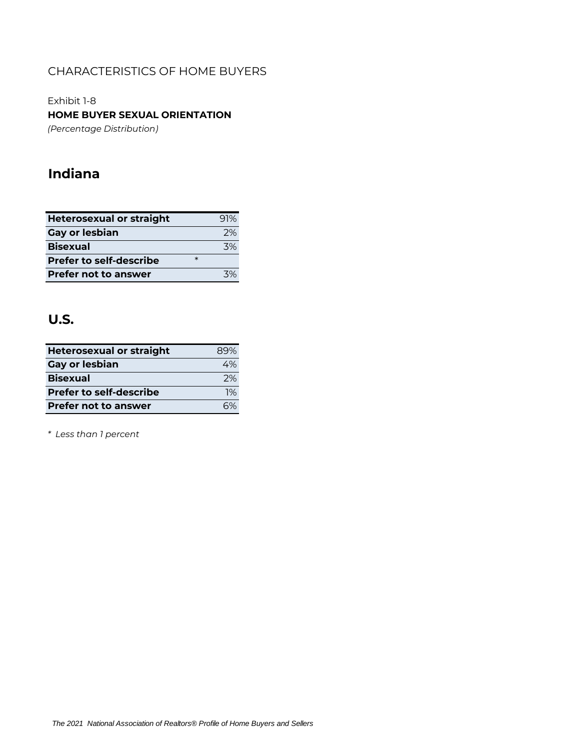Exhibit 1-8 **HOME BUYER SEXUAL ORIENTATION**

*(Percentage Distribution)*

# **Indiana**

| <b>Heterosexual or straight</b> |        | 91%  |
|---------------------------------|--------|------|
| <b>Gay or lesbian</b>           |        | 2%   |
| <b>Bisexual</b>                 |        | 3%   |
| <b>Prefer to self-describe</b>  | $\ast$ |      |
| <b>Prefer not to answer</b>     |        | 70/2 |

# **U.S.**

| <b>Heterosexual or straight</b> | 89% |
|---------------------------------|-----|
| <b>Gay or lesbian</b>           | 4%  |
| <b>Bisexual</b>                 | 2%  |
| <b>Prefer to self-describe</b>  | 1%  |
| <b>Prefer not to answer</b>     |     |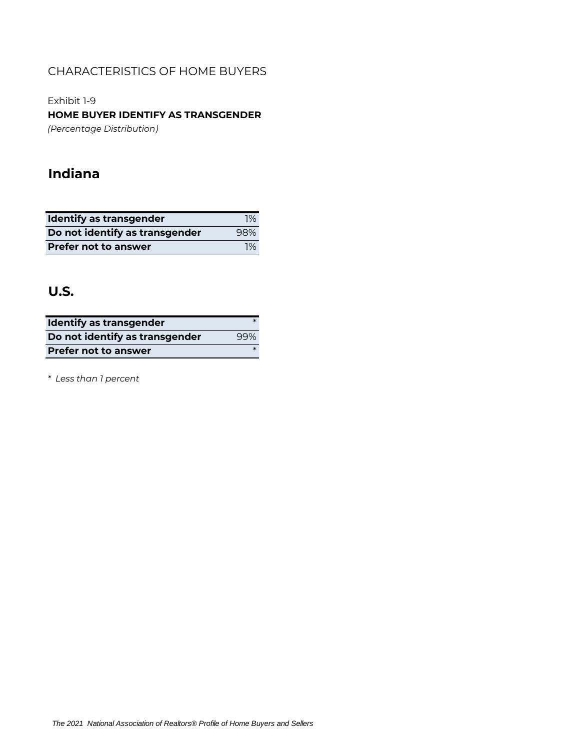Exhibit 1-9 **HOME BUYER IDENTIFY AS TRANSGENDER** *(Percentage Distribution)*

# **Indiana**

| <b>Identify as transgender</b> | $1\%$ |
|--------------------------------|-------|
| Do not identify as transgender | 98%   |
| <b>Prefer not to answer</b>    | 1%    |

# **U.S.**

| <b>Identify as transgender</b> |        |
|--------------------------------|--------|
| Do not identify as transgender | 99%    |
| <b>Prefer not to answer</b>    | $\ast$ |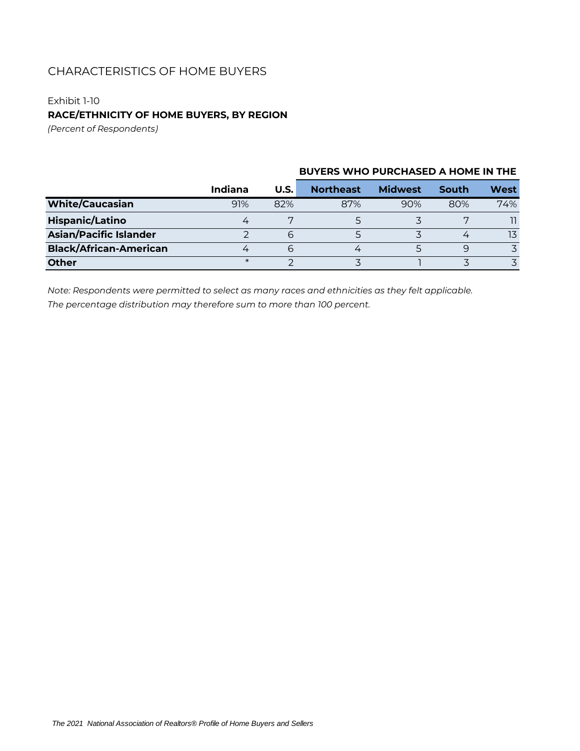## Exhibit 1-10

## **RACE/ETHNICITY OF HOME BUYERS, BY REGION**

*(Percent of Respondents)*

|                               | Indiana | <b>U.S.</b> | <b>Northeast</b> | <b>Midwest</b> | South | West |
|-------------------------------|---------|-------------|------------------|----------------|-------|------|
| <b>White/Caucasian</b>        | 91%     | 82%         | 87%              | 90%            | 80%   | 74%  |
| <b>Hispanic/Latino</b>        |         |             |                  |                |       |      |
| <b>Asian/Pacific Islander</b> |         | 6           |                  |                |       | 13   |
| <b>Black/African-American</b> |         | 6           |                  |                | 9     | マ    |
| <b>Other</b>                  | $\ast$  |             |                  |                |       |      |

## **BUYERS WHO PURCHASED A HOME IN THE**

*Note: Respondents were permitted to select as many races and ethnicities as they felt applicable. The percentage distribution may therefore sum to more than 100 percent.*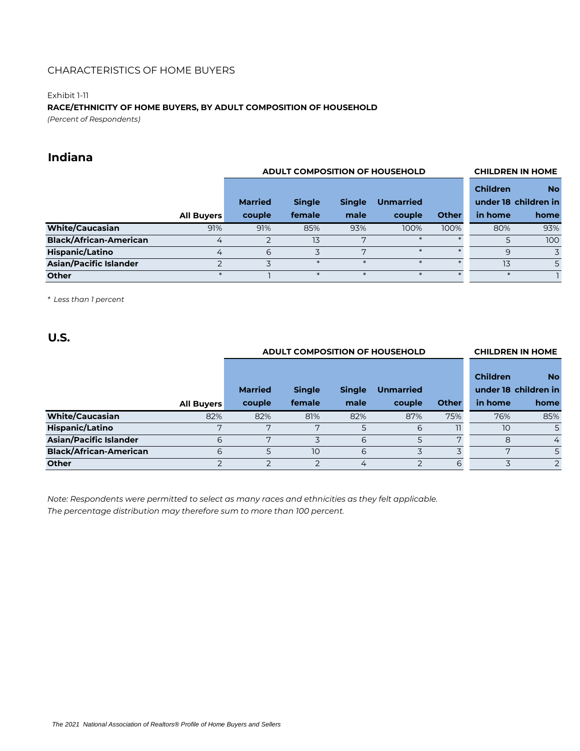### Exhibit 1-11

## **RACE/ETHNICITY OF HOME BUYERS, BY ADULT COMPOSITION OF HOUSEHOLD**

*(Percent of Respondents)*

# **Indiana**

|                               |                   | <b>ADULT COMPOSITION OF HOUSEHOLD</b> |               |               |                  |              | <b>CHILDREN IN HOME</b> |                                   |
|-------------------------------|-------------------|---------------------------------------|---------------|---------------|------------------|--------------|-------------------------|-----------------------------------|
|                               |                   | <b>Married</b>                        | <b>Single</b> | <b>Single</b> | <b>Unmarried</b> |              | <b>Children</b>         | <b>No</b><br>under 18 children in |
|                               | <b>All Buyers</b> | couple                                | female        | male          | couple           | <b>Other</b> | in home                 | home                              |
| <b>White/Caucasian</b>        | 91%               | 91%                                   | 85%           | 93%           | 100%             | 100%         | 80%                     | 93%                               |
| <b>Black/African-American</b> | 4                 | $\mathcal{P}$                         | 13            | 7             |                  |              |                         | 100                               |
| <b>Hispanic/Latino</b>        | 4                 | 6                                     |               | 7             | $\ast$           |              | 9                       | 3                                 |
| <b>Asian/Pacific Islander</b> |                   |                                       |               |               |                  |              | 13                      | 5                                 |
| <b>Other</b>                  |                   |                                       |               |               |                  |              |                         |                                   |

*\* Less than 1 percent*

**U.S.**

|                               |                   | <b>ADULT COMPOSITION OF HOUSEHOLD</b> |               |               |                  |              |                 | <b>CHILDREN IN HOME</b>           |
|-------------------------------|-------------------|---------------------------------------|---------------|---------------|------------------|--------------|-----------------|-----------------------------------|
|                               |                   | <b>Married</b>                        | <b>Single</b> | <b>Single</b> | <b>Unmarried</b> |              | <b>Children</b> | <b>No</b><br>under 18 children in |
|                               | <b>All Buyers</b> | couple                                | female        | male          | couple           | <b>Other</b> | in home         | home                              |
| <b>White/Caucasian</b>        | 82%               | 82%                                   | 81%           | 82%           | 87%              | 75%          | 76%             | 85%                               |
| <b>Hispanic/Latino</b>        | ヮ                 | 7                                     | ヮ             | 5             | 6                |              | 10              | 5                                 |
| <b>Asian/Pacific Islander</b> | 6                 | 7                                     |               | 6             | 5                | 7            | 8               | 4                                 |
| <b>Black/African-American</b> | 6                 | 5                                     | 10            | 6             |                  | 3            | 7               | 5                                 |
| <b>Other</b>                  | っ                 | $\overline{2}$                        |               | 4             | $\overline{2}$   | 6            |                 | $\overline{2}$                    |

*Note: Respondents were permitted to select as many races and ethnicities as they felt applicable. The percentage distribution may therefore sum to more than 100 percent.*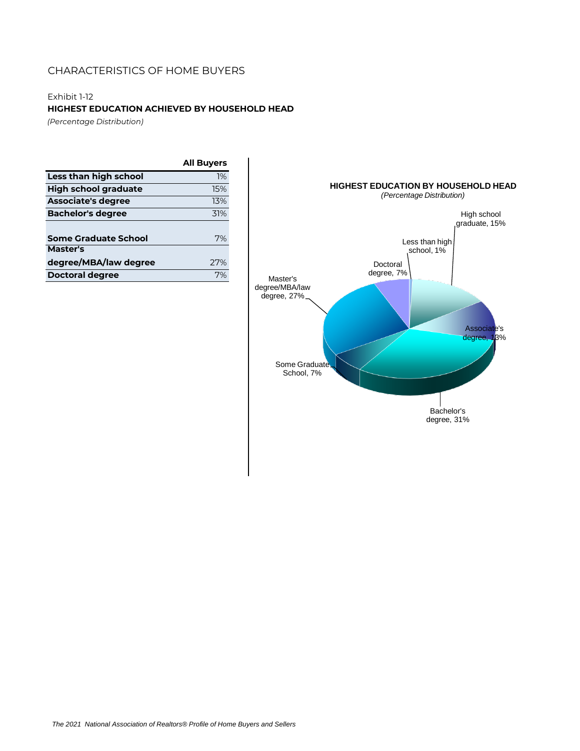## Exhibit 1-12

**HIGHEST EDUCATION ACHIEVED BY HOUSEHOLD HEAD**

*(Percentage Distribution)*

|                             | <b>All Buyers</b> |
|-----------------------------|-------------------|
| Less than high school       | 1%                |
| <b>High school graduate</b> | 15%               |
| <b>Associate's degree</b>   | 13%               |
| <b>Bachelor's degree</b>    | 31%               |
|                             |                   |
| <b>Some Graduate School</b> | 7%                |
| Master's                    |                   |
| degree/MBA/law degree       | 77%               |
| Doctoral degree             | 7%                |



*The 2021 National Association of Realtors® Profile of Home Buyers and Sellers*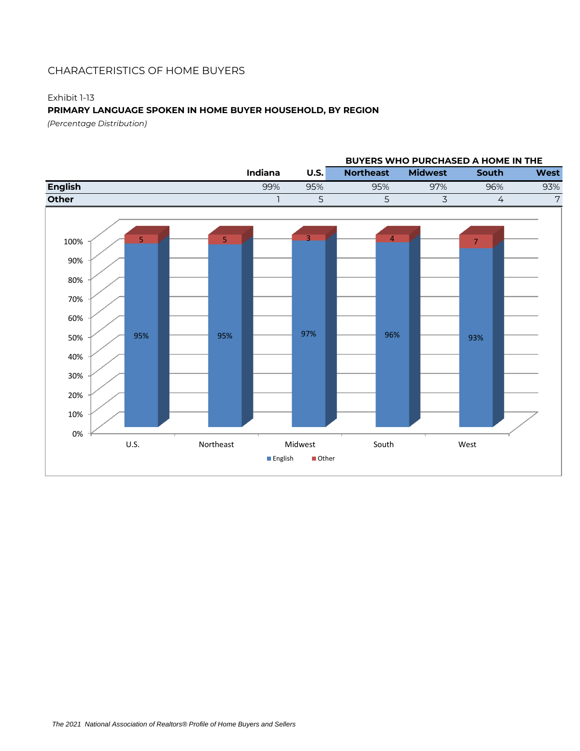### Exhibit 1-13

## **PRIMARY LANGUAGE SPOKEN IN HOME BUYER HOUSEHOLD, BY REGION**

*(Percentage Distribution)*

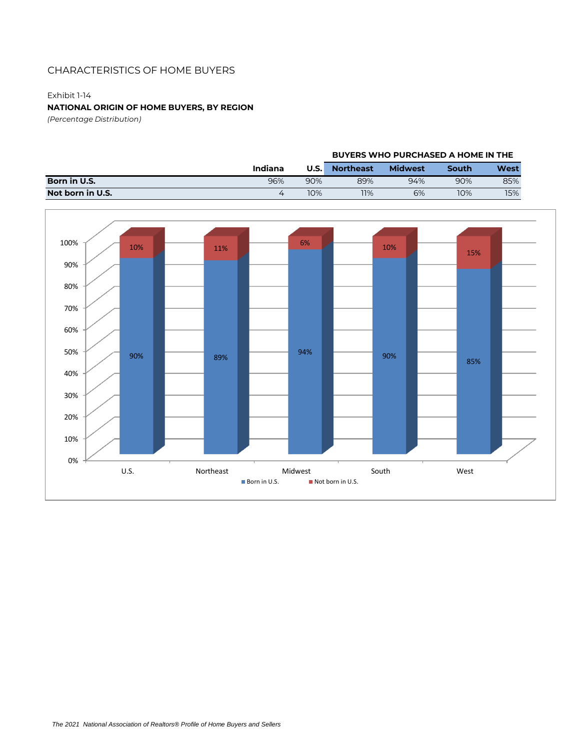## Exhibit 1-14

## **NATIONAL ORIGIN OF HOME BUYERS, BY REGION**

*(Percentage Distribution)*

|                  |         |             | <b>BUYERS WHO PURCHASED A HOME IN THE</b> |                |       |      |  |
|------------------|---------|-------------|-------------------------------------------|----------------|-------|------|--|
|                  | Indiana | <b>U.S.</b> | <b>Northeast</b>                          | <b>Midwest</b> | South | West |  |
| Born in U.S.     | 96%     | 90%         | 89%                                       | 94%            | 90%   | 85%  |  |
| Not born in U.S. | ∠⊥      | 10%         | 11%                                       | 6%             | 10%   | 15%  |  |

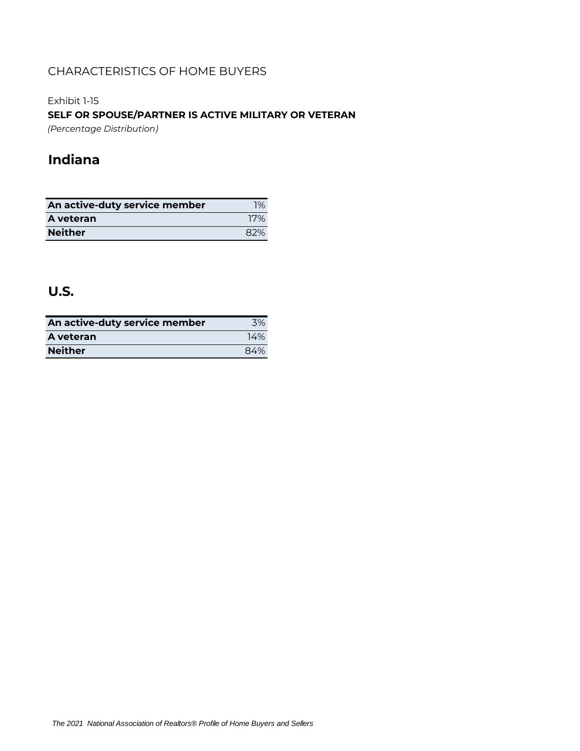Exhibit 1-15

**SELF OR SPOUSE/PARTNER IS ACTIVE MILITARY OR VETERAN**

*(Percentage Distribution)*

# **Indiana**

| An active-duty service member | 1%  |
|-------------------------------|-----|
| A veteran                     | 17% |
| <b>Neither</b>                | 82% |

# **U.S.**

| An active-duty service member | 3%  |
|-------------------------------|-----|
| A veteran                     | 14% |
| <b>Neither</b>                | 84% |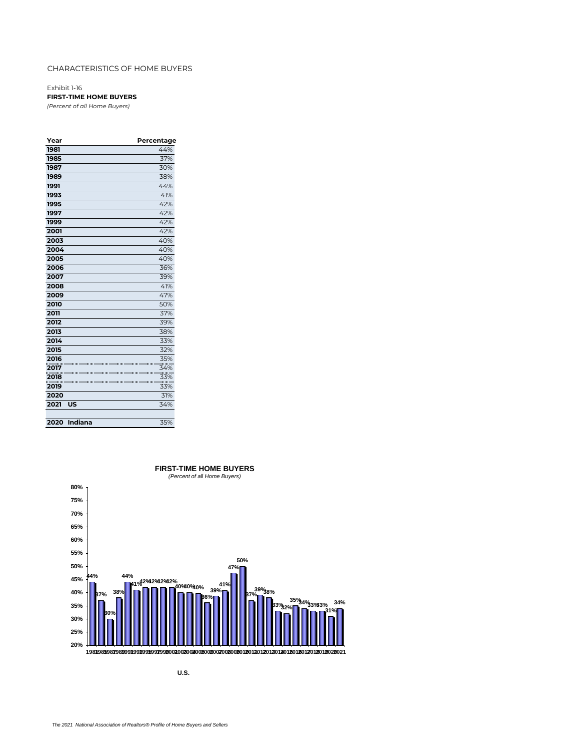Exhibit 1-16 **FIRST-TIME HOME BUYERS**

*(Percent of all Home Buyers)*

| Year |         | Percentage |
|------|---------|------------|
| 1981 |         | 44%        |
| 1985 |         | 37%        |
| 1987 |         | 30%        |
| 1989 |         | 38%        |
| 1991 |         | 44%        |
| 1993 |         | 41%        |
| 1995 |         | 42%        |
| 1997 |         | 42%        |
| 1999 |         | 42%        |
| 2001 |         | 42%        |
| 2003 |         | 40%        |
| 2004 |         | 40%        |
| 2005 |         | 40%        |
| 2006 |         | 36%        |
| 2007 |         | 39%        |
| 2008 |         | 41%        |
| 2009 |         | 47%        |
| 2010 |         | 50%        |
| 2011 |         | 37%        |
| 2012 |         | 39%        |
| 2013 |         | 38%        |
| 2014 |         | 33%        |
| 2015 |         | 32%        |
| 2016 |         | 35%        |
| 2017 |         | 34%        |
| 2018 |         | 33%        |
| 2019 |         | 33%        |
| 2020 |         | 31%        |
| 2021 | US      | 34%        |
|      |         |            |
| 2020 | Indiana | 35%        |



## **FIRST-TIME HOME BUYERS** *(Percent of all Home Buyers)*

**U.S.**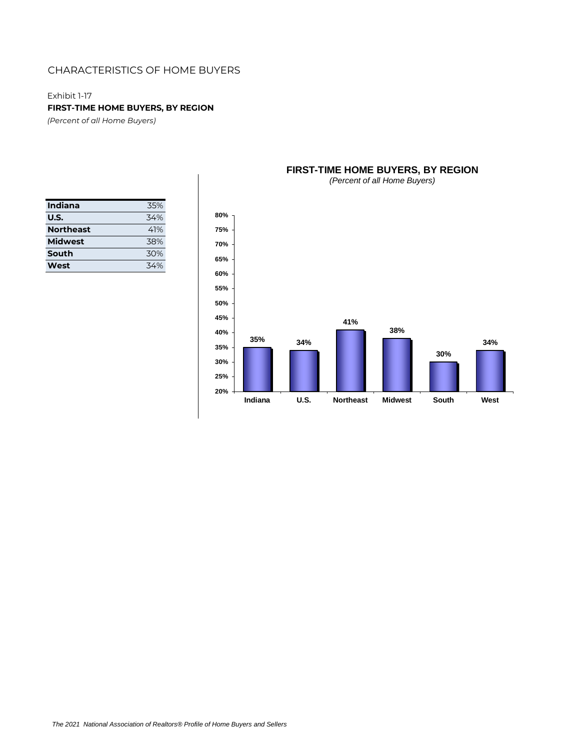Exhibit 1-17

**FIRST-TIME HOME BUYERS, BY REGION**

*(Percent of all Home Buyers)*

| Indiana          | 35% |
|------------------|-----|
| U.S.             | 34% |
| <b>Northeast</b> | 41% |
| <b>Midwest</b>   | 38% |
| South            | 30% |
| West             | 34% |



## **FIRST-TIME HOME BUYERS, BY REGION**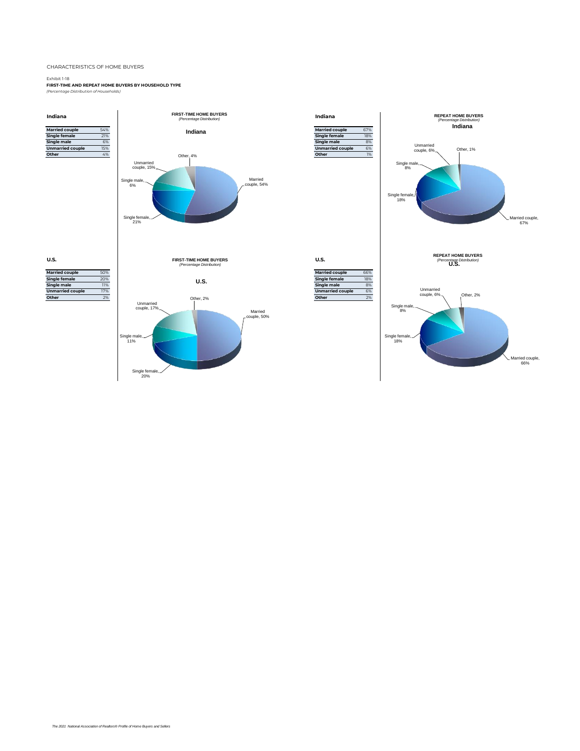#### Exhibit 1-18

**FIRST-TIME AND REPEAT HOME BUYERS BY HOUSEHOLD TYPE** *(Percentage Distribution of Households)*

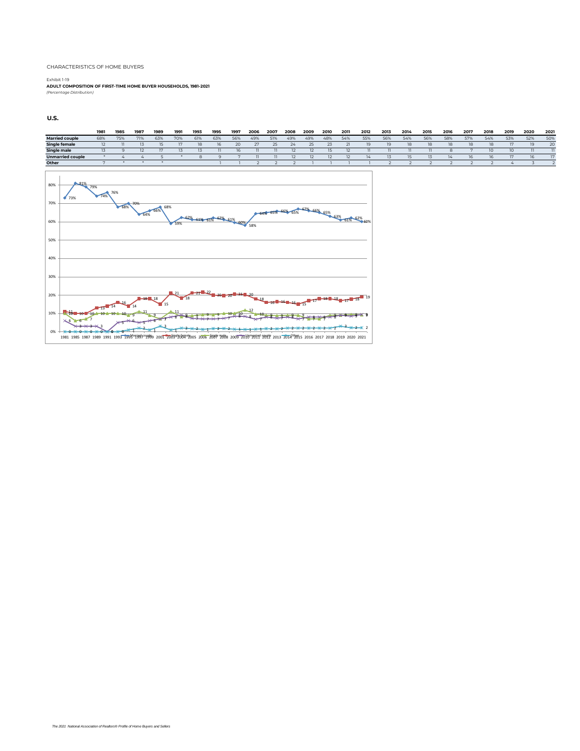Exhibit 1-19 **ADULT COMPOSITION OF FIRST-TIME HOME BUYER HOUSEHOLDS, 1981-2021** *(Percentage Distribution)*

**U.S.**

10%



<sup>11</sup> <sup>10</sup> <sup>10</sup> 10 6 7 <sup>10</sup> <sup>10</sup> <sup>10</sup> 9 11 9 7 11 <sup>8</sup> <sup>9</sup> <sup>9</sup> <sup>9</sup> 10 10 12 10 9 9 9 9 7 7 9 9 9 9 6 3 3 3 0 5 6 5 6 8 9 7 7 7 7 8 8 7 8 7 8 7 8 8 8 9 9 0 0 0 0 0 1 2 1 3 1 2 2 1 2 2 1 1 1 2 2 2 2 2 2 2 3 2 2 0% 1981 1985 1987 1989 1991 1993 **1995 1995 1995 2001 200**3 20<mark>06 2006 2006 2006 2009 2010 2011 2011 2012 2013 2014 2015 2016 2017 2018 2019 2020 2021</mark>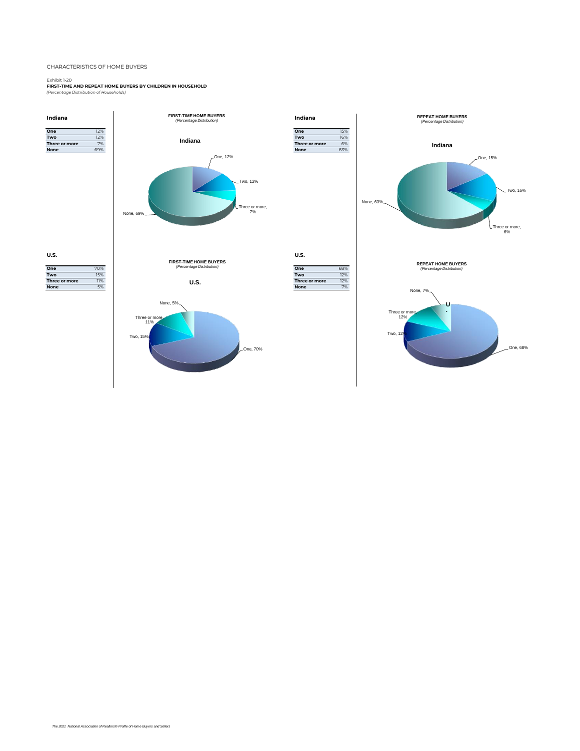Exhibit 1-20 **FIRST-TIME AND REPEAT HOME BUYERS BY CHILDREN IN HOUSEHOLD** *(Percentage Distribution of Households)*

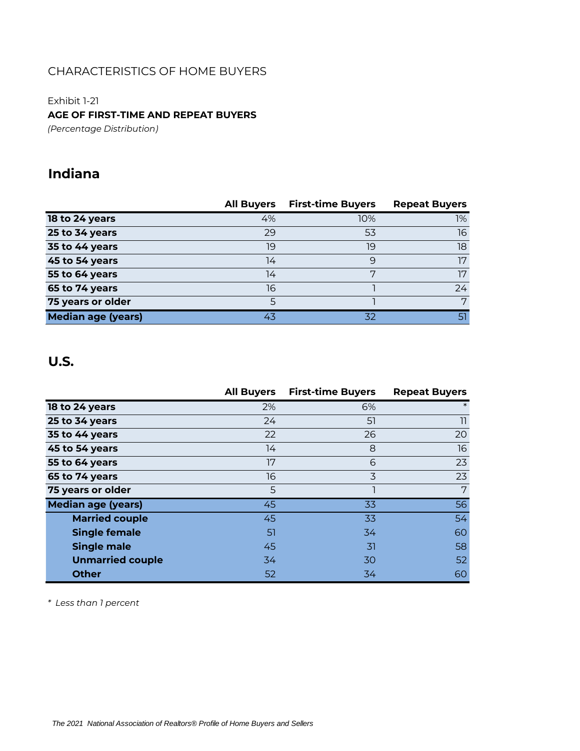Exhibit 1-21 **AGE OF FIRST-TIME AND REPEAT BUYERS**

*(Percentage Distribution)*

# **Indiana**

|                           | <b>All Buyers</b> | <b>First-time Buyers</b> | <b>Repeat Buyers</b> |
|---------------------------|-------------------|--------------------------|----------------------|
| 18 to 24 years            | 4%                | 10%                      | 1%                   |
| 25 to 34 years            | 29                | 53                       | 16                   |
| 35 to 44 years            | 19                | 19                       | 18                   |
| 45 to 54 years            | 14                | 9                        | 17                   |
| 55 to 64 years            | 14                | 7                        | 17                   |
| 65 to 74 years            | 16                |                          | 24                   |
| 75 years or older         | 5                 |                          | 7                    |
| <b>Median age (years)</b> | 43                | 32                       | 51                   |

# **U.S.**

|                           | <b>All Buyers</b> | <b>First-time Buyers</b> | <b>Repeat Buyers</b> |
|---------------------------|-------------------|--------------------------|----------------------|
| 18 to 24 years            | 2%                | 6%                       | $\ast$               |
| 25 to 34 years            | 24                | 51                       | 11                   |
| 35 to 44 years            | 22                | 26                       | 20                   |
| 45 to 54 years            | 14                | 8                        | 16                   |
| 55 to 64 years            | 17                | 6                        | 23                   |
| 65 to 74 years            | 16                | 3                        | 23                   |
| 75 years or older         | 5                 |                          | 7                    |
| <b>Median age (years)</b> | 45                | 33                       | 56                   |
| <b>Married couple</b>     | 45                | 33                       | 54                   |
| <b>Single female</b>      | 51                | 34                       | 60                   |
| <b>Single male</b>        | 45                | 31                       | 58                   |
| <b>Unmarried couple</b>   | 34                | 30                       | 52                   |
| <b>Other</b>              | 52                | 34                       | 60                   |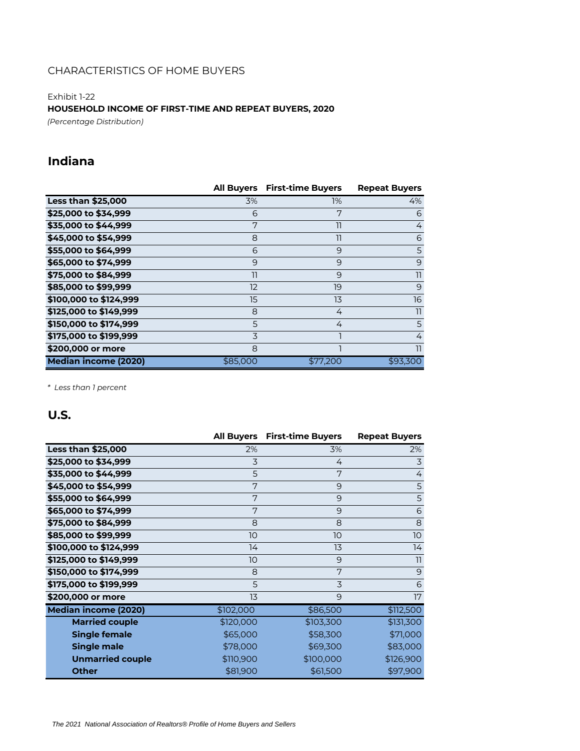Exhibit 1-22

**HOUSEHOLD INCOME OF FIRST-TIME AND REPEAT BUYERS, 2020**

*(Percentage Distribution)*

# **Indiana**

|                             | <b>All Buyers</b> | <b>First-time Buyers</b> | <b>Repeat Buyers</b> |
|-----------------------------|-------------------|--------------------------|----------------------|
| <b>Less than \$25,000</b>   | 3%                | $1\%$                    | 4%                   |
| \$25,000 to \$34,999        | 6                 | 7                        | 6                    |
| \$35,000 to \$44,999        | 7                 | 11                       | 4                    |
| \$45,000 to \$54,999        | 8                 | 11                       | 6                    |
| \$55,000 to \$64,999        | 6                 | 9                        | 5                    |
| \$65,000 to \$74,999        | 9                 | 9                        | 9                    |
| \$75,000 to \$84,999        | 11                | 9                        | 11                   |
| \$85,000 to \$99,999        | 12                | 19                       | 9                    |
| \$100,000 to \$124,999      | 15                | 13                       | 16                   |
| \$125,000 to \$149,999      | 8                 | 4                        | 11                   |
| \$150,000 to \$174,999      | 5                 | 4                        | 5                    |
| \$175,000 to \$199,999      | 3                 |                          | 4                    |
| \$200,000 or more           | 8                 |                          | 11                   |
| <b>Median income (2020)</b> | \$85,000          | \$77,200                 | \$93,300             |

*\* Less than 1 percent*

# **U.S.**

|                             | <b>All Buyers</b> | <b>First-time Buyers</b> | <b>Repeat Buyers</b> |
|-----------------------------|-------------------|--------------------------|----------------------|
| <b>Less than \$25,000</b>   | 2%                | 3%                       | 2%                   |
| \$25,000 to \$34,999        | 3                 | 4                        | 3                    |
| \$35,000 to \$44,999        | 5                 | 7                        | $\overline{4}$       |
| \$45,000 to \$54,999        | 7                 | 9                        | 5                    |
| \$55,000 to \$64,999        | 7                 | 9                        | 5                    |
| \$65,000 to \$74,999        | 7                 | 9                        | 6                    |
| \$75,000 to \$84,999        | 8                 | 8                        | 8                    |
| \$85,000 to \$99,999        | 10 <sup>°</sup>   | 10 <sup>°</sup>          | 10                   |
| \$100,000 to \$124,999      | 14                | 13                       | 14                   |
| \$125,000 to \$149,999      | 10 <sup>°</sup>   | 9                        | 11                   |
| \$150,000 to \$174,999      | 8                 | 7                        | 9                    |
| \$175,000 to \$199,999      | 5                 | 3                        | 6                    |
| \$200,000 or more           | 13                | 9                        | 17                   |
| <b>Median income (2020)</b> | \$102,000         | \$86,500                 | \$112,500            |
| <b>Married couple</b>       | \$120,000         | \$103,300                | \$131,300            |
| <b>Single female</b>        | \$65,000          | \$58,300                 | \$71,000             |
| <b>Single male</b>          | \$78,000          | \$69,300                 | \$83,000             |
| <b>Unmarried couple</b>     | \$110,900         | \$100,000                | \$126,900            |
| <b>Other</b>                | \$81,900          | \$61,500                 | \$97,900             |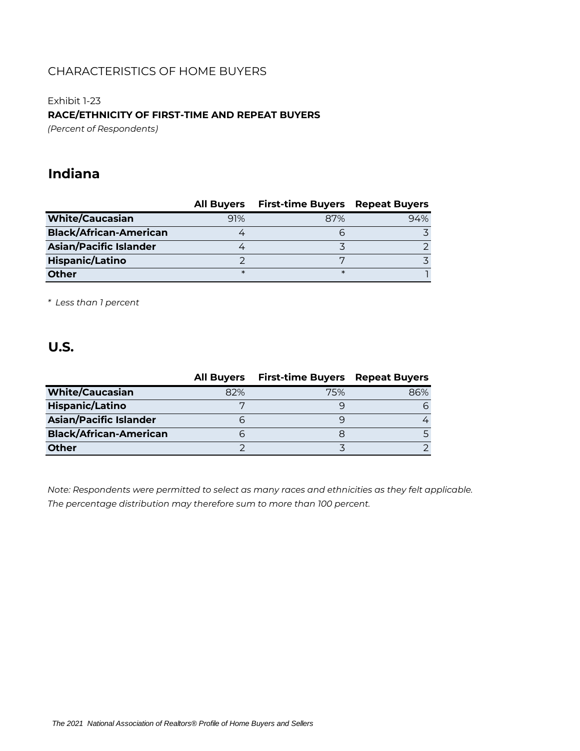# Exhibit 1-23

**RACE/ETHNICITY OF FIRST-TIME AND REPEAT BUYERS**

*(Percent of Respondents)*

# **Indiana**

|                               | <b>All Buyers</b> | <b>First-time Buyers Repeat Buyers</b> |     |
|-------------------------------|-------------------|----------------------------------------|-----|
| <b>White/Caucasian</b>        | 91%               | 87%                                    | 94% |
| <b>Black/African-American</b> |                   | h                                      |     |
| <b>Asian/Pacific Islander</b> |                   |                                        |     |
| <b>Hispanic/Latino</b>        |                   |                                        |     |
| <b>Other</b>                  | ж                 | $\ast$                                 |     |

*\* Less than 1 percent*

# **U.S.**

|                               | <b>All Buyers</b> | <b>First-time Buyers Repeat Buyers</b> |     |
|-------------------------------|-------------------|----------------------------------------|-----|
| <b>White/Caucasian</b>        | 82%               | 75%                                    | 86% |
| <b>Hispanic/Latino</b>        |                   |                                        |     |
| <b>Asian/Pacific Islander</b> |                   |                                        |     |
| <b>Black/African-American</b> |                   |                                        |     |
| <b>Other</b>                  |                   |                                        |     |

*Note: Respondents were permitted to select as many races and ethnicities as they felt applicable. The percentage distribution may therefore sum to more than 100 percent.*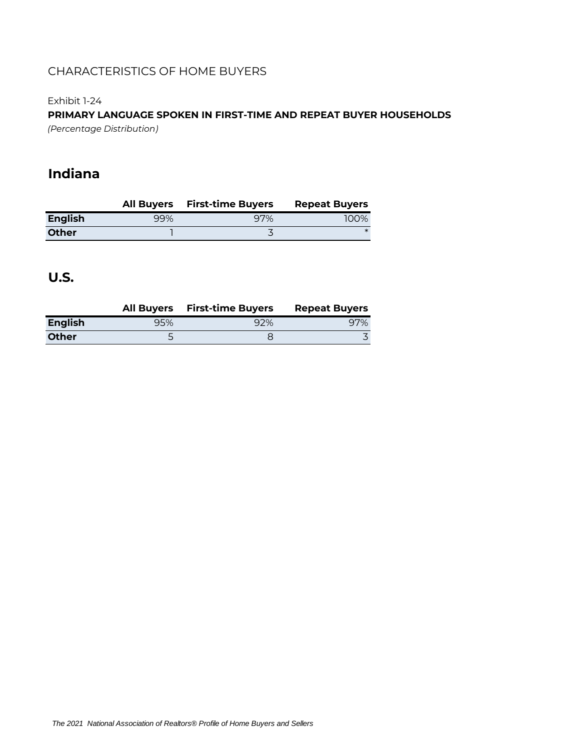Exhibit 1-24

**PRIMARY LANGUAGE SPOKEN IN FIRST-TIME AND REPEAT BUYER HOUSEHOLDS** *(Percentage Distribution)*

# **Indiana**

|                |     | All Buyers First-time Buyers | <b>Repeat Buyers</b> |
|----------------|-----|------------------------------|----------------------|
| <b>English</b> | 99% | 97%                          | 100%                 |
| <b>Other</b>   |     |                              |                      |

**U.S.**

|                |     | All Buyers First-time Buyers | <b>Repeat Buyers</b> |
|----------------|-----|------------------------------|----------------------|
| <b>English</b> | 95% | 92%                          | 97%                  |
| <b>Other</b>   |     |                              |                      |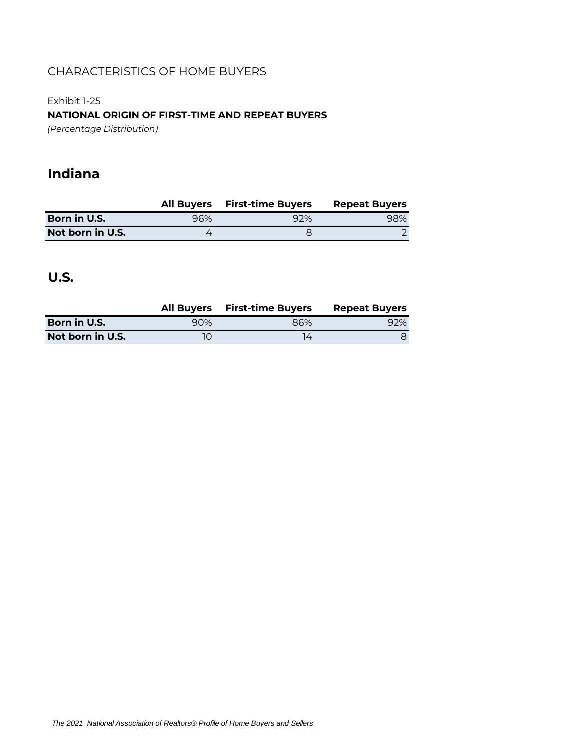Exhibit 1-25 **NATIONAL ORIGIN OF FIRST-TIME AND REPEAT BUYERS** *(Percentage Distribution)*

# **Indiana**

|                  |     | All Buyers First-time Buyers | <b>Repeat Buyers</b> |
|------------------|-----|------------------------------|----------------------|
| Born in U.S.     | 96% | 92%                          | 98%                  |
| Not born in U.S. |     |                              |                      |

# **U.S.**

|                  |     | All Buyers First-time Buyers | <b>Repeat Buyers</b> |
|------------------|-----|------------------------------|----------------------|
| Born in U.S.     | 90% | 86%                          | 92%                  |
| Not born in U.S. |     |                              |                      |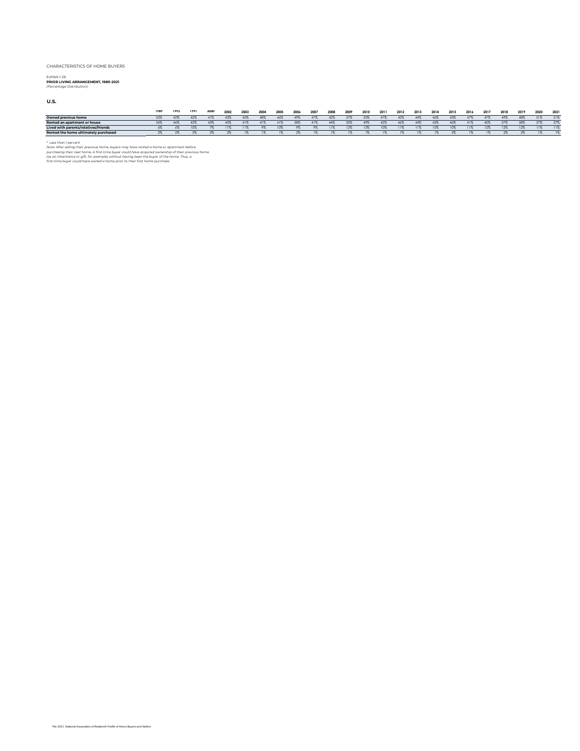## Exhibit 1-26 **PRIOR LIVING ARRANGEMENT, 1989-2021** *(Percentage Distribution)*

**U.S.**

|                                      | 1989 | 1993 | 1997 | 2000 | 2002 | 2003 | 2004 | 2005 | 2006 | 2007  | 2008           | 2009           | 2010 | 2011 | 2012 | 2013 | 2014 | 2015 | 2016 | 2017 | 2018 | 2019 | 2020 | 2021 |
|--------------------------------------|------|------|------|------|------|------|------|------|------|-------|----------------|----------------|------|------|------|------|------|------|------|------|------|------|------|------|
| Owned previous home                  | 52%  |      | 42%  | 41%  | 43%  | 45%  | 48%  | 46%  | 49%  | 47%   | 42%            | .37%           | 35%  | 47%  | 42%  | 44%  | 46%  | 43%  | 4/2  | 47%  | 49%  | 48%  | 51%  | 51%  |
| Rented an apartment or house         | 36%  | 46%  | 42%  | 45%  | 45%  | 41%  | 41%  | 41%  | 38%  | 41%   | 44%            | 50%            | 49%  | 42%  | 46%  | 44%  |      | 46%  | 41%  | 40%  | 37%  | 38%  | 37%  | 37%  |
| Lived with parents/relatives/friends |      |      |      | г.   |      |      |      |      |      |       | 11%            | 12%            | 13%  | 10%  |      |      | 10%  | 10%  |      | 12%  | 12%  | 12%  | 11%  | 11%  |
| Rented the home ultimately purchased |      | 2%   |      | ΖЪ   |      | 1%   |      |      |      | $1\%$ | 1 <sup>7</sup> | 1 <sup>2</sup> |      |      |      |      |      |      |      |      |      |      |      |      |

\* Less than 1 percent<br>putch after the selling their previous home, buyers may have rented a home or apartment before<br>purchasing their next home. A first-time buyer could have acquired ownership of their previous home<br>(as a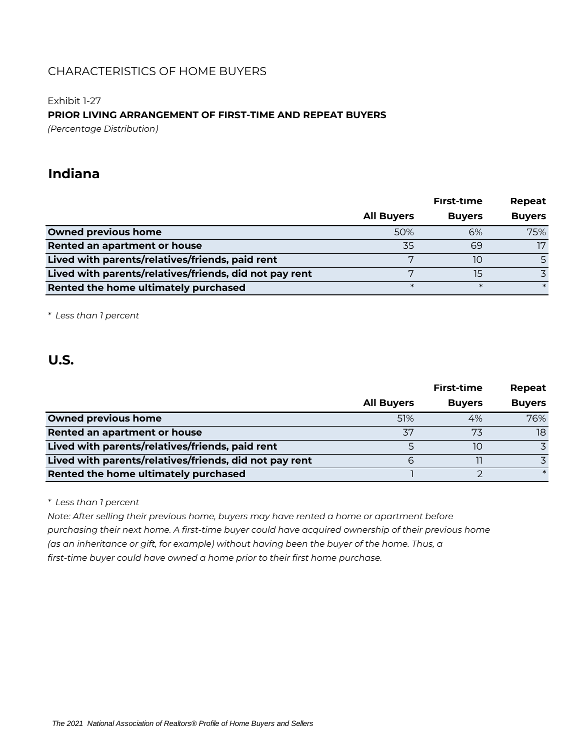## Exhibit 1-27 **PRIOR LIVING ARRANGEMENT OF FIRST-TIME AND REPEAT BUYERS** *(Percentage Distribution)*

# **Indiana**

|                                                        |                   | First-time    | Repeat        |
|--------------------------------------------------------|-------------------|---------------|---------------|
|                                                        | <b>All Buyers</b> | <b>Buyers</b> | <b>Buyers</b> |
| <b>Owned previous home</b>                             | 50%               | 6%            | 75%           |
| Rented an apartment or house                           | 35                | 69            | 17            |
| Lived with parents/relatives/friends, paid rent        | $\overline{ }$    | 10            |               |
| Lived with parents/relatives/friends, did not pay rent |                   | 15            |               |
| Rented the home ultimately purchased                   | $\ast$            | $\ast$        | $\ast$        |

*\* Less than 1 percent*

# **U.S.**

|                                                        |                   | First-time    | Repeat        |
|--------------------------------------------------------|-------------------|---------------|---------------|
|                                                        | <b>All Buyers</b> | <b>Buyers</b> | <b>Buyers</b> |
| <b>Owned previous home</b>                             | 51%               | 4%            | 76%           |
| Rented an apartment or house                           | 37                | 73            | 18            |
| Lived with parents/relatives/friends, paid rent        |                   | 10            |               |
| Lived with parents/relatives/friends, did not pay rent |                   |               |               |
| Rented the home ultimately purchased                   |                   |               |               |

*\* Less than 1 percent*

*Note: After selling their previous home, buyers may have rented a home or apartment before purchasing their next home. A first-time buyer could have acquired ownership of their previous home (as an inheritance or gift, for example) without having been the buyer of the home. Thus, a first-time buyer could have owned a home prior to their first home purchase.*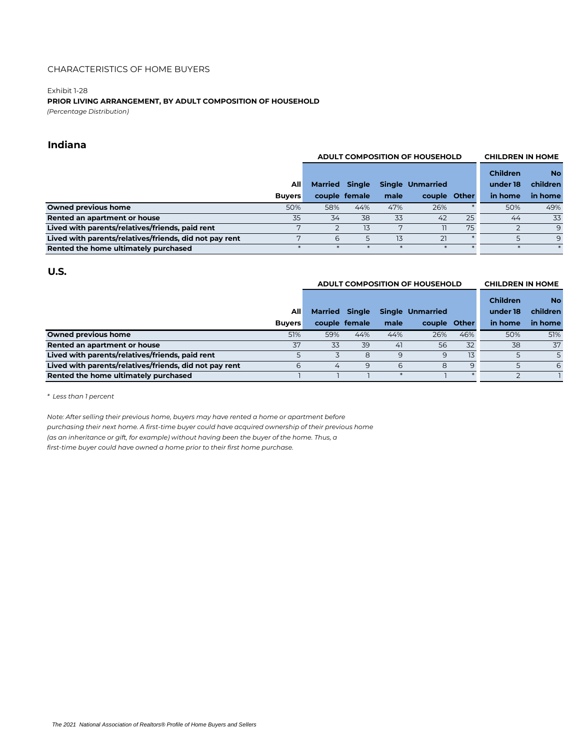#### Exhibit 1-28

# **PRIOR LIVING ARRANGEMENT, BY ADULT COMPOSITION OF HOUSEHOLD**

*(Percentage Distribution)*

## **Indiana**

|                                                        |               |                       | <b>ADULT COMPOSITION OF HOUSEHOLD</b> | <b>CHILDREN IN HOME</b> |                         |    |                 |              |
|--------------------------------------------------------|---------------|-----------------------|---------------------------------------|-------------------------|-------------------------|----|-----------------|--------------|
|                                                        |               |                       |                                       |                         |                         |    | <b>Children</b> | <b>No</b>    |
|                                                        | Alll          | <b>Married Single</b> |                                       |                         | <b>Single Unmarried</b> |    | under 18        | children     |
|                                                        | <b>Buvers</b> |                       | couple female                         | male                    | couple Other            |    | in home         | in home      |
| <b>Owned previous home</b>                             | 50%           | 58%                   | 44%                                   | 47%                     | 26%                     |    | 50%             | 49%          |
| Rented an apartment or house                           | 35            | 34                    | 38                                    | 33                      | 42                      | 25 | 44              | 33           |
| Lived with parents/relatives/friends, paid rent        | 7             |                       | 13                                    | 7                       |                         | 75 |                 | $\mathsf{Q}$ |
| Lived with parents/relatives/friends, did not pay rent | 7             | 6                     | 5                                     | 13                      | 21                      |    |                 | 9            |
| Rented the home ultimately purchased                   |               |                       |                                       |                         |                         |    |                 |              |

## **U.S.**

#### **ADULT COMPOSITION OF HOUSEHOLD CHILDREN IN HOME**

|                                                        |               |                       |               |      |                         |     | <b>Children</b> | <b>No</b> |
|--------------------------------------------------------|---------------|-----------------------|---------------|------|-------------------------|-----|-----------------|-----------|
|                                                        | All           | <b>Married Single</b> |               |      | <b>Single Unmarried</b> |     | under 18        | children  |
|                                                        | <b>Buvers</b> |                       | couple female | male | couple Other            |     | in home         | in home   |
| <b>Owned previous home</b>                             | 51%           | 59%                   | 44%           | 44%  | 26%                     | 46% | 50%             | 51%       |
| Rented an apartment or house                           | 37            | 33                    | 39            | 41   | 56                      | 32  | 38              | 37        |
| Lived with parents/relatives/friends, paid rent        |               |                       | 8             | 9    | 9                       | 13  |                 |           |
| Lived with parents/relatives/friends, did not pay rent | 6             | 4                     | 9             | 6    | 8                       | 9   |                 | 6         |
| Rented the home ultimately purchased                   |               |                       |               |      |                         |     |                 |           |

*\* Less than 1 percent*

*Note: After selling their previous home, buyers may have rented a home or apartment before purchasing their next home. A first-time buyer could have acquired ownership of their previous home (as an inheritance or gift, for example) without having been the buyer of the home. Thus, a first-time buyer could have owned a home prior to their first home purchase.*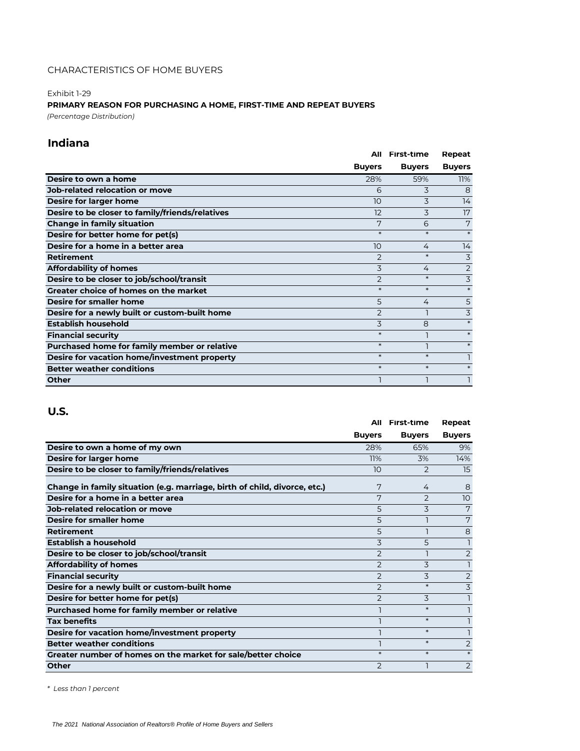# Exhibit 1-29 **PRIMARY REASON FOR PURCHASING A HOME, FIRST-TIME AND REPEAT BUYERS**

*(Percentage Distribution)*

# **Indiana**

|                                                 | All            | First-time    | Repeat         |
|-------------------------------------------------|----------------|---------------|----------------|
|                                                 | <b>Buyers</b>  | <b>Buyers</b> | <b>Buyers</b>  |
| Desire to own a home                            | 28%            | 59%           | 11%            |
| <b>Job-related relocation or move</b>           | 6              | 3             | 8              |
| Desire for larger home                          | 10             | 3             | 14             |
| Desire to be closer to family/friends/relatives | 12             | 3             | 17             |
| <b>Change in family situation</b>               | 7              | 6             | 7              |
| Desire for better home for pet(s)               | $\ast$         | $\ast$        |                |
| Desire for a home in a better area              | 10             | 4             | 14             |
| <b>Retirement</b>                               | 2              | $\ast$        | 3              |
| <b>Affordability of homes</b>                   | 3              | 4             | 2              |
| Desire to be closer to job/school/transit       | $\overline{2}$ | $\ast$        | 3              |
| <b>Greater choice of homes on the market</b>    | $\ast$         | $\ast$        | $\ast$         |
| Desire for smaller home                         | 5              | 4             | 5              |
| Desire for a newly built or custom-built home   | $\overline{2}$ |               | $\overline{3}$ |
| <b>Establish household</b>                      | 3              | 8             |                |
| <b>Financial security</b>                       | $\ast$         |               | $\ast$         |
| Purchased home for family member or relative    | $\ast$         |               | $\ast$         |
| Desire for vacation home/investment property    | $\ast$         | $\ast$        |                |
| <b>Better weather conditions</b>                | $\ast$         | $\ast$        | $\ast$         |
| Other                                           |                |               |                |

## **U.S.**

|                                                                           | All            | <b>First-time</b> | Repeat         |
|---------------------------------------------------------------------------|----------------|-------------------|----------------|
|                                                                           | <b>Buyers</b>  | <b>Buyers</b>     | <b>Buyers</b>  |
| Desire to own a home of my own                                            | 28%            | 65%               | 9%             |
| Desire for larger home                                                    | 11%            | 3%                | 14%            |
| Desire to be closer to family/friends/relatives                           | 10             | $\overline{2}$    | 15             |
| Change in family situation (e.g. marriage, birth of child, divorce, etc.) | 7              | 4                 | 8              |
| Desire for a home in a better area                                        | 7              | $\overline{2}$    | 10             |
| <b>Job-related relocation or move</b>                                     | 5              | 3                 | 7              |
| Desire for smaller home                                                   | 5              |                   | 7              |
| <b>Retirement</b>                                                         | 5              |                   | 8              |
| Establish a household                                                     | 3              | 5                 |                |
| Desire to be closer to job/school/transit                                 | $\overline{2}$ |                   | $\overline{2}$ |
| <b>Affordability of homes</b>                                             | $\overline{2}$ | 3                 |                |
| <b>Financial security</b>                                                 | $\overline{2}$ | 3                 | 2              |
| Desire for a newly built or custom-built home                             | $\overline{2}$ | $\ast$            | 3              |
| Desire for better home for pet(s)                                         | $\overline{2}$ | 3                 |                |
| Purchased home for family member or relative                              |                | $\ast$            |                |
| <b>Tax benefits</b>                                                       |                | $\ast$            |                |
| Desire for vacation home/investment property                              |                | $\ast$            |                |
| <b>Better weather conditions</b>                                          |                | $\ast$            | 2              |
| Greater number of homes on the market for sale/better choice              | $\ast$         | $\ast$            |                |
| <b>Other</b>                                                              | $\overline{2}$ |                   | 2              |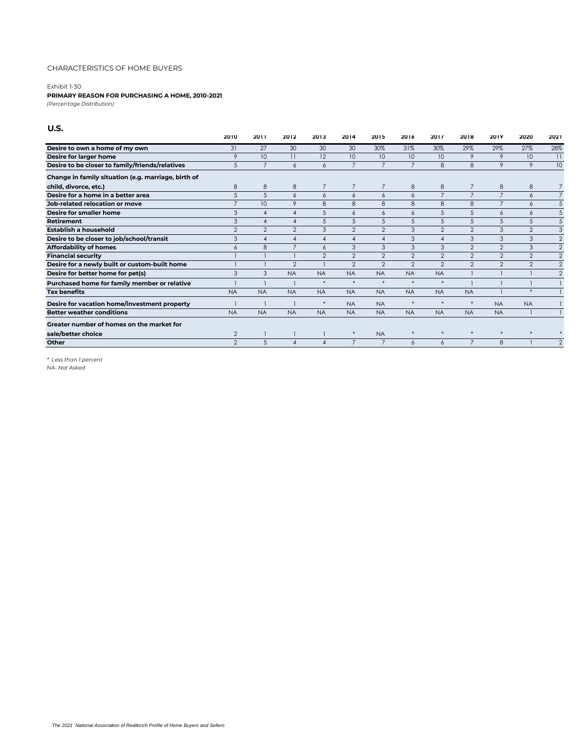#### Exhibit 1-30

#### **PRIMARY REASON FOR PURCHASING A HOME, 2010-2021**

*(Percentage Distribution)*

## **U.S.**

|                                                     | 2010           | 2011                   | 2012                   | 2013           | 2014            | 2015           | 2016           | 2017           | 2018            | 2019           | 2020         | 2021            |
|-----------------------------------------------------|----------------|------------------------|------------------------|----------------|-----------------|----------------|----------------|----------------|-----------------|----------------|--------------|-----------------|
| Desire to own a home of my own                      | 31             | 27                     | 30                     | 30             | 30              | 30%            | 31%            | 30%            | 29%             | 29%            | 27%          | 28%             |
| Desire for larger home                              | 9              | 10                     | $\overline{11}$        | 12             | 10 <sup>°</sup> | 10             | 10             | 10             | 9               | 9              | 10           | $\overline{11}$ |
| Desire to be closer to family/friends/relatives     | 5              | $\overline{7}$         | 6                      | 6              | $\overline{7}$  | $\overline{7}$ | $\overline{7}$ | 8              | 8               | 9              | 9            | 10              |
| Change in family situation (e.g. marriage, birth of |                |                        |                        |                |                 |                |                |                |                 |                |              |                 |
| child, divorce, etc.)                               | 8              | 8                      | 8                      | $\overline{7}$ | $\overline{7}$  | $\overline{7}$ | 8              | 8              | 7               | 8              | 8            |                 |
| Desire for a home in a better area                  | 5              | 5                      | 6                      | 6              | 6               | 6              | 6              | $\overline{7}$ | $\overline{7}$  | $\overline{7}$ | 6            | $\overline{7}$  |
| Job-related relocation or move                      |                | 10                     | 9                      | 8              | 8               | 8              | 8              | 8              | 8               | $\overline{7}$ | 6            | 5               |
| Desire for smaller home                             | 3              | $\boldsymbol{\Lambda}$ | $\overline{4}$         | 5              | 6               | 6              | 6              | 5              | 5               | $\overline{6}$ | 6            | 5               |
| <b>Retirement</b>                                   | 3              | $\overline{4}$         | $\overline{4}$         | 5              | 5               | 5              | 5              | 5              | 5               | 5              | 5            | 5               |
| Establish a household                               | $\mathfrak{p}$ | $\mathfrak{p}$         | $\overline{2}$         | 3              | 2               | 2              | 3              | $\mathfrak{D}$ | $\mathfrak{D}$  | 3              | 2            | 3               |
| Desire to be closer to job/school/transit           | 3              | $\boldsymbol{\Lambda}$ | $\boldsymbol{\Lambda}$ | $\overline{4}$ | $\overline{4}$  | $\overline{4}$ | 3              | $\Delta$       | 3               | 3              | 3            | $\overline{2}$  |
| <b>Affordability of homes</b>                       | 6              | 8                      | $\overline{7}$         | 6              | 3               | 3              | 3              | 3              | 2               | 2              | 3            | $\overline{2}$  |
| <b>Financial security</b>                           |                |                        |                        | $\overline{2}$ | 2               | 2              | 2              | 2              | 2               | 2              | 2            | $\overline{2}$  |
| Desire for a newly built or custom-built home       |                |                        | $\overline{2}$         |                | 2               | 2              | 2              | $\mathfrak{D}$ | $\overline{2}$  | 2              | $\mathbf{2}$ | $\overline{2}$  |
| Desire for better home for pet(s)                   | 3              | 3                      | <b>NA</b>              | <b>NA</b>      | <b>NA</b>       | <b>NA</b>      | <b>NA</b>      | <b>NA</b>      |                 |                |              | $\overline{2}$  |
| Purchased home for family member or relative        |                |                        |                        | $\ast$         | $\ast$          | $*$            | $\ast$         | $\ast$         |                 |                |              |                 |
| <b>Tax benefits</b>                                 | <b>NA</b>      | <b>NA</b>              | <b>NA</b>              | <b>NA</b>      | <b>NA</b>       | <b>NA</b>      | <b>NA</b>      | <b>NA</b>      | <b>NA</b>       |                | $\ast$       |                 |
| Desire for vacation home/investment property        |                |                        |                        | $\ast$         | <b>NA</b>       | <b>NA</b>      |                | ×              | $\ast$          | <b>NA</b>      | <b>NA</b>    |                 |
| <b>Better weather conditions</b>                    | <b>NA</b>      | <b>NA</b>              | <b>NA</b>              | <b>NA</b>      | <b>NA</b>       | <b>NA</b>      | <b>NA</b>      | <b>NA</b>      | <b>NA</b>       | <b>NA</b>      |              |                 |
| Greater number of homes on the market for           |                |                        |                        |                |                 |                |                |                |                 |                |              |                 |
| sale/better choice                                  | $\overline{2}$ |                        |                        |                | $\ast$          | <b>NA</b>      |                | $\ast$         | $\ast$          | $*$            | $\ast$       |                 |
| Other                                               | $\mathfrak{D}$ | 5                      |                        |                | $\overline{7}$  | $\overline{7}$ | 6              | 6              | $7\overline{ }$ | 8              |              | $\mathcal{P}$   |

*\* Less than 1 percent*

*NA- Not Asked*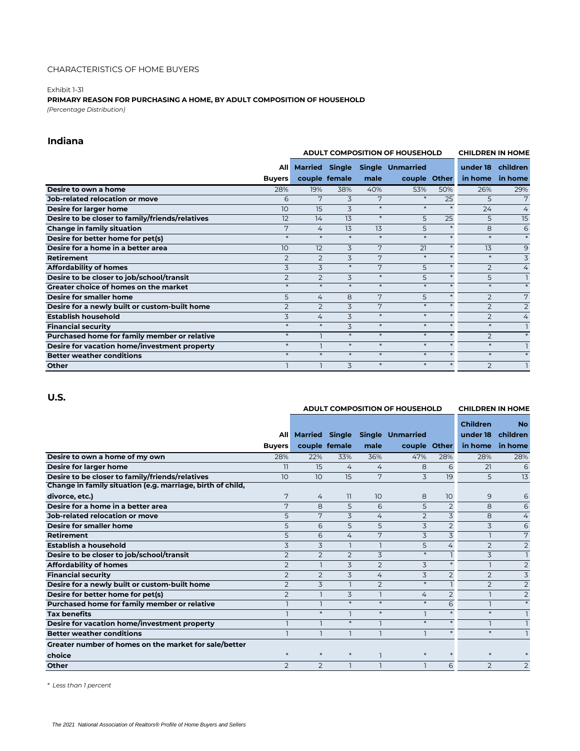#### Exhibit 1-31 **PRIMARY REASON FOR PURCHASING A HOME, BY ADULT COMPOSITION OF HOUSEHOLD** *(Percentage Distribution)*

## **Indiana**

|                                                 |                      | <b>ADULT COMPOSITION OF HOUSEHOLD</b> | <b>CHILDREN IN HOME</b> |        |                                                 |         |                     |                     |
|-------------------------------------------------|----------------------|---------------------------------------|-------------------------|--------|-------------------------------------------------|---------|---------------------|---------------------|
|                                                 | All<br><b>Buvers</b> |                                       | couple female           | male   | Married Single Single Unmarried<br>couple Other |         | under 18<br>in home | children<br>in home |
| Desire to own a home                            | 28%                  | 19%                                   | 38%                     | 40%    | 53%                                             | 50%     | 26%                 | 29%                 |
| Job-related relocation or move                  | 6                    | 7                                     | 3                       | 7      | 米                                               | 25      | 5                   | 7                   |
| Desire for larger home                          | 10                   | 15                                    | 3                       | $\ast$ | $\ast$                                          | $\ast$  | 24                  | $\overline{4}$      |
| Desire to be closer to family/friends/relatives | 12                   | 14                                    | 13                      | $\ast$ | 5                                               | 25      | 5                   | 15                  |
| <b>Change in family situation</b>               | 7                    | 4                                     | 13                      | 13     | 5                                               | $\star$ | 8                   | 6                   |
| Desire for better home for pet(s)               | $*$                  | $*$                                   | $*$                     | $\ast$ | $\ast$                                          | $\star$ | $\ast$              | $\ast$              |
| Desire for a home in a better area              | 10                   | 12                                    | 3                       | 7      | 21                                              | $\ast$  | 13                  | 9                   |
| <b>Retirement</b>                               | $\overline{2}$       | $\overline{2}$                        | 3                       | 7      | $\ast$                                          | $\star$ | $\ast$              | 3                   |
| <b>Affordability of homes</b>                   | 3                    | 3                                     | $\ast$                  | 7      | 5                                               | $*$     | $\overline{2}$      | $\overline{4}$      |
| Desire to be closer to job/school/transit       | $\overline{2}$       | $\overline{2}$                        | 3                       | $\ast$ | 5                                               | $\ast$  | 5                   |                     |
| Greater choice of homes on the market           | $\ast$               | $\ast$                                | $\ast$                  | $\ast$ | $\star$                                         |         | $\star$             | $\ast$              |
| Desire for smaller home                         | 5                    | 4                                     | 8                       | 7      | 5                                               | $\star$ | $\overline{2}$      | 7                   |
| Desire for a newly built or custom-built home   | $\overline{2}$       | $\overline{2}$                        | 3                       | 7      | $\ast$                                          | $\ast$  | $\overline{2}$      | $\overline{2}$      |
| <b>Establish household</b>                      | 3                    | 4                                     | 3                       | $*$    | $\ast$                                          |         | $\overline{2}$      | $\overline{4}$      |
| <b>Financial security</b>                       | $*$                  | $\ast$                                | 3                       | $\ast$ | $\ast$                                          | $\star$ | $\ast$              | L.                  |
| Purchased home for family member or relative    | $*$                  |                                       | $\ast$                  | $\ast$ | $\ast$                                          | $\ast$  | $\overline{2}$      | $\star$             |
| Desire for vacation home/investment property    | $\ast$               |                                       | $\ast$                  | $\ast$ | $\ast$                                          | $\ast$  | $\ast$              |                     |
| <b>Better weather conditions</b>                | $\ast$               | $\ast$                                | $\ast$                  | $\ast$ | $\ast$                                          | $\ast$  | $\ast$              | $\ast$              |
| Other                                           |                      |                                       | 3                       | $\ast$ | $\ast$                                          | $*$     | $\overline{2}$      |                     |

## **U.S.**

|                                                            |                |                       | <b>ADULT COMPOSITION OF HOUSEHOLD</b> | <b>CHILDREN IN HOME</b> |                         |                 |                 |                |
|------------------------------------------------------------|----------------|-----------------------|---------------------------------------|-------------------------|-------------------------|-----------------|-----------------|----------------|
|                                                            |                |                       |                                       |                         |                         |                 | <b>Children</b> | <b>No</b>      |
|                                                            | <b>All</b>     | <b>Married Single</b> |                                       |                         | <b>Single Unmarried</b> |                 | under 18        | children       |
|                                                            | <b>Buvers</b>  |                       | couple female                         | male                    | couple Other            |                 | in home         | in home        |
| Desire to own a home of my own                             | 28%            | 22%                   | 33%                                   | 36%                     | 47%                     | 28%             | 28%             | 28%            |
| Desire for larger home                                     | 11             | 15                    | $\overline{4}$                        | 4                       | 8                       | 6               | 21              | 6              |
| Desire to be closer to family/friends/relatives            | 10             | 10 <sup>°</sup>       | 15                                    | 7                       | 3                       | 19              | 5               | 13             |
| Change in family situation (e.g. marriage, birth of child, |                |                       |                                       |                         |                         |                 |                 |                |
| divorce, etc.)                                             | 7              | 4                     | 11                                    | 10                      | 8                       | 10 <sup>°</sup> | 9               | 6              |
| Desire for a home in a better area                         | 7              | 8                     | 5                                     | 6                       | 5                       | $\overline{2}$  | 8               | 6              |
| Job-related relocation or move                             | 5              | 7                     | 3                                     | 4                       | $\overline{2}$          | 3               | 8               | 4              |
| Desire for smaller home                                    | 5              | 6                     | 5                                     | 5                       | 3                       | $\overline{2}$  | 3               | 6              |
| Retirement                                                 | 5              | 6                     | 4                                     | 7                       | 3                       | 3               |                 | 7              |
| Establish a household                                      | 3              | 3                     |                                       |                         | 5                       | 4               | $\overline{2}$  | $\overline{2}$ |
| Desire to be closer to job/school/transit                  | $\overline{2}$ | 2                     | $\overline{2}$                        | 3                       | $\ast$                  | $\mathbf{1}$    | 3               |                |
| <b>Affordability of homes</b>                              | $\overline{2}$ | $\overline{1}$        | 3                                     | $\overline{2}$          | 3                       | $\ast$          |                 | $\overline{2}$ |
| <b>Financial security</b>                                  | $\overline{2}$ | $\overline{2}$        | 3                                     | 4                       | 3                       | $\overline{2}$  | $\overline{2}$  | 3              |
| Desire for a newly built or custom-built home              | $\overline{2}$ | 3                     |                                       | $\overline{2}$          | $\ast$                  | $\mathbf{1}$    | $\overline{2}$  | $\overline{2}$ |
| Desire for better home for pet(s)                          | $\overline{2}$ |                       | 3                                     |                         | $\overline{4}$          | $\overline{2}$  |                 | $\overline{2}$ |
| Purchased home for family member or relative               |                |                       | $\ast$                                | $\ast$                  | $\ast$                  | 6               |                 | $\ast$         |
| <b>Tax benefits</b>                                        |                | $\ast$                |                                       | $\ast$                  | n,                      | $\ast$          | $\ast$          |                |
| Desire for vacation home/investment property               |                |                       | $\ast$                                |                         | $\ast$                  | $\ast$          |                 |                |
| <b>Better weather conditions</b>                           |                |                       |                                       |                         |                         | $\ast$          | $\ast$          |                |
| Greater number of homes on the market for sale/better      |                |                       |                                       |                         |                         |                 |                 |                |
| choice                                                     | $\ast$         | $\ast$                | $\ast$                                |                         | $\ast$                  |                 | $\ast$          |                |
| Other                                                      | $\overline{2}$ | 2                     |                                       |                         |                         | 6               | $\overline{2}$  | $\overline{2}$ |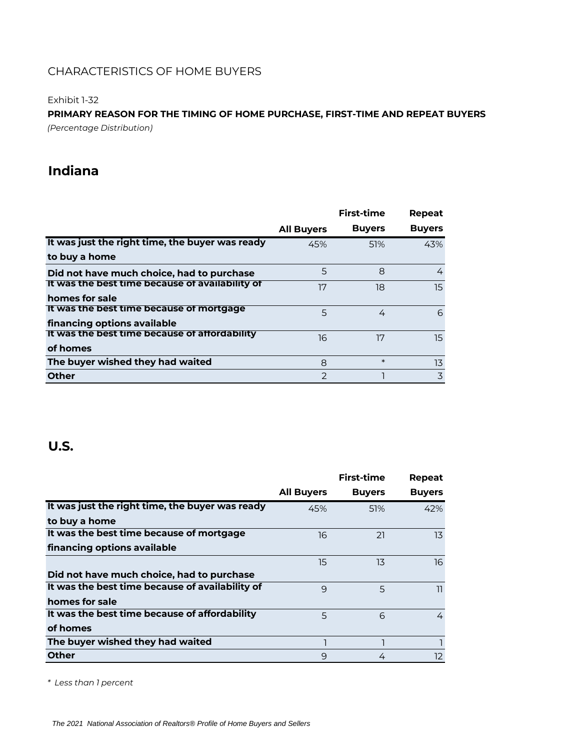Exhibit 1-32

**PRIMARY REASON FOR THE TIMING OF HOME PURCHASE, FIRST-TIME AND REPEAT BUYERS** *(Percentage Distribution)*

# **Indiana**

|                                                 |                   | <b>First-time</b> | Repeat        |
|-------------------------------------------------|-------------------|-------------------|---------------|
|                                                 | <b>All Buyers</b> | <b>Buyers</b>     | <b>Buyers</b> |
| It was just the right time, the buyer was ready | 45%               | 51%               | 43%           |
| to buy a home                                   |                   |                   |               |
| Did not have much choice, had to purchase       | 5                 | 8                 | 4             |
| It was the best time because of availability of | 17                | 18                | 15.           |
| homes for sale                                  |                   |                   |               |
| It was the best time because of mortgage        | 5                 | 4                 | 6             |
| financing options available                     |                   |                   |               |
| It was the best time because of affordability   | 16                | 17                | 15.           |
| of homes                                        |                   |                   |               |
| The buyer wished they had waited                | 8                 | $\ast$            | 13            |
| <b>Other</b>                                    | $\mathcal{P}$     |                   | 3             |

# **U.S.**

|                                                 |                   | <b>First-time</b> | Repeat        |
|-------------------------------------------------|-------------------|-------------------|---------------|
|                                                 | <b>All Buyers</b> | <b>Buyers</b>     | <b>Buyers</b> |
| It was just the right time, the buyer was ready | 45%               | 51%               | 42%           |
| to buy a home                                   |                   |                   |               |
| It was the best time because of mortgage        | 16                | 21                | 13            |
| financing options available                     |                   |                   |               |
|                                                 | 15                | 13                | 16            |
| Did not have much choice, had to purchase       |                   |                   |               |
| It was the best time because of availability of | 9                 | 5                 | 11            |
| homes for sale                                  |                   |                   |               |
| It was the best time because of affordability   | 5                 | 6                 | 4             |
| of homes                                        |                   |                   |               |
| The buyer wished they had waited                |                   |                   |               |
| <b>Other</b>                                    | 9                 | 4                 | 12            |